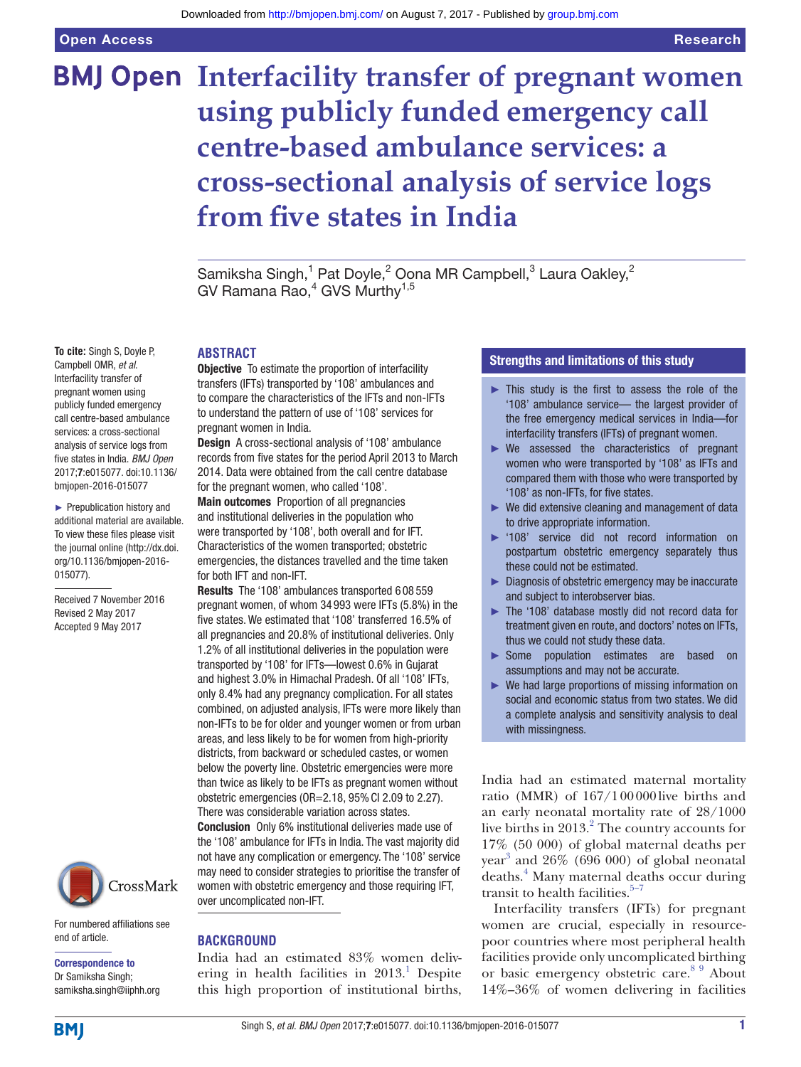# **BMJ Open Interfacility transfer of pregnant women using publicly funded emergency call centre-based ambulance services: a cross-sectional analysis of service logs from five states in India**

Samiksha Singh,<sup>1</sup> Pat Doyle,<sup>2</sup> Oona MR Campbell,<sup>3</sup> Laura Oakley,<sup>2</sup> GV Ramana Rao,<sup>4</sup> GVS Murthy<sup>1,5</sup>

**ABSTRACT**

**Objective** To estimate the proportion of interfacility transfers (IFTs) transported by '108' ambulances and to compare the characteristics of the IFTs and non-IFTs to understand the pattern of use of '108' services for pregnant women in India.

Design A cross-sectional analysis of '108' ambulance records from five states for the period April 2013 to March 2014. Data were obtained from the call centre database for the pregnant women, who called '108'.

Main outcomes Proportion of all pregnancies and institutional deliveries in the population who were transported by '108', both overall and for IFT. Characteristics of the women transported; obstetric emergencies, the distances travelled and the time taken for both IFT and non-IFT.

Results The '108' ambulances transported 6 08 559 pregnant women, of whom 34 993 were IFTs (5.8%) in the five states. We estimated that '108' transferred 16.5% of all pregnancies and 20.8% of institutional deliveries. Only 1.2% of all institutional deliveries in the population were transported by '108' for IFTs—lowest 0.6% in Gujarat and highest 3.0% in Himachal Pradesh. Of all '108' IFTs, only 8.4% had any pregnancy complication. For all states combined, on adjusted analysis, IFTs were more likely than non-IFTs to be for older and younger women or from urban areas, and less likely to be for women from high-priority districts, from backward or scheduled castes, or women below the poverty line. Obstetric emergencies were more than twice as likely to be IFTs as pregnant women without obstetric emergencies (OR=2.18, 95%CI 2.09 to 2.27). There was considerable variation across states.

Conclusion Only 6% institutional deliveries made use of the '108' ambulance for IFTs in India. The vast majority did not have any complication or emergency. The '108' service may need to consider strategies to prioritise the transfer of women with obstetric emergency and those requiring IFT, over uncomplicated non-IFT.

## **Background**

India had an estimated 83% women delivering in health facilities in  $2013$  $2013$  $2013$ .<sup>1</sup> Despite this high proportion of institutional births,

## Strengths and limitations of this study

- $\triangleright$  This study is the first to assess the role of the '108' ambulance service— the largest provider of the free emergency medical services in India—for interfacility transfers (IFTs) of pregnant women.
- ► We assessed the characteristics of pregnant women who were transported by '108' as IFTs and compared them with those who were transported by '108' as non-IFTs, for five states.
- ► We did extensive cleaning and management of data to drive appropriate information.
- ► '108' service did not record information on postpartum obstetric emergency separately thus these could not be estimated.
- ► Diagnosis of obstetric emergency may be inaccurate and subject to interobserver bias.
- The '108' database mostly did not record data for treatment given en route, and doctors' notes on IFTs, thus we could not study these data.
- ► Some population estimates are based on assumptions and may not be accurate.
- ► We had large proportions of missing information on social and economic status from two states. We did a complete analysis and sensitivity analysis to deal with missingness.

India had an estimated maternal mortality ratio (MMR) of 167/100000live births and an early neonatal mortality rate of 28/1000 live births in  $2013.<sup>2</sup>$  $2013.<sup>2</sup>$  The country accounts for 17% (50 000) of global maternal deaths per year [3](#page-10-2) and 26% (696 000) of global neonatal deaths.[4](#page-10-3) Many maternal deaths occur during transit to health facilities. $5-7$ 

Interfacility transfers (IFTs) for pregnant women are crucial, especially in resourcepoor countries where most peripheral health facilities provide only uncomplicated birthing or basic emergency obstetric care.<sup>[8 9](#page-10-5)</sup> About 14%–36% of women delivering in facilities

Campbell OMR, *et al*. Interfacility transfer of pregnant women using publicly funded emergency call centre-based ambulance services: a cross-sectional analysis of service logs from five states in India. *BMJ Open* 2017;7:e015077. doi:10.1136/ bmjopen-2016-015077

**To cite:** Singh S, Doyle P,

► Prepublication history and additional material are available. To view these files please visit the journal online [\(http://dx.doi.](http://dx.doi.org/10.1136/bmjopen-2016-015077) [org/10.1136/bmjopen-2016-](http://dx.doi.org/10.1136/bmjopen-2016-015077) [015077\)](http://dx.doi.org/10.1136/bmjopen-2016-015077).

Received 7 November 2016 Revised 2 May 2017 Accepted 9 May 2017



For numbered affiliations see end of article.

Correspondence to Dr Samiksha Singh; samiksha.singh@iiphh.org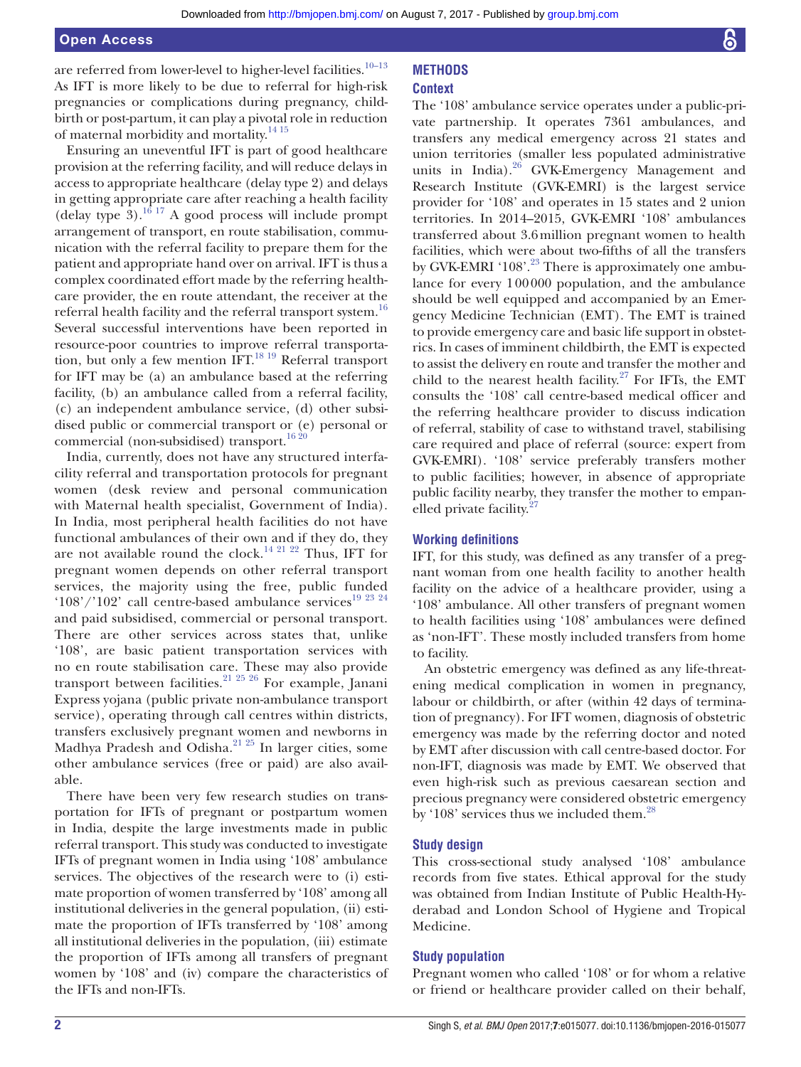are referred from lower-level to higher-level facilities.<sup>[10–13](#page-10-6)</sup> As IFT is more likely to be due to referral for high-risk pregnancies or complications during pregnancy, childbirth or post-partum, it can play a pivotal role in reduction of maternal morbidity and mortality.[14 15](#page-10-7)

Ensuring an uneventful IFT is part of good healthcare provision at the referring facility, and will reduce delays in access to appropriate healthcare (delay type 2) and delays in getting appropriate care after reaching a health facility (delay type  $3$ ).<sup>[16 17](#page-10-8)</sup> A good process will include prompt arrangement of transport, en route stabilisation, communication with the referral facility to prepare them for the patient and appropriate hand over on arrival. IFT is thus a complex coordinated effort made by the referring healthcare provider, the en route attendant, the receiver at the referral health facility and the referral transport system.<sup>16</sup> Several successful interventions have been reported in resource-poor countries to improve referral transportation, but only a few mention IFT.<sup>18 19</sup> Referral transport for IFT may be (a) an ambulance based at the referring facility, (b) an ambulance called from a referral facility, (c) an independent ambulance service, (d) other subsidised public or commercial transport or (e) personal or commercial (non-subsidised) transport.<sup>[16 20](#page-10-8)</sup>

India, currently, does not have any structured interfacility referral and transportation protocols for pregnant women (desk review and personal communication with Maternal health specialist, Government of India). In India, most peripheral health facilities do not have functional ambulances of their own and if they do, they are not available round the clock.<sup>14 21 22</sup> Thus, IFT for pregnant women depends on other referral transport services, the majority using the free, public funded '108'/'102' call centre-based ambulance services $^{19}$   $^{23}$   $^{24}$ and paid subsidised, commercial or personal transport. There are other services across states that, unlike '108', are basic patient transportation services with no en route stabilisation care. These may also provide transport between facilities.[21 25 26](#page-10-11) For example, Janani Express yojana (public private non-ambulance transport service), operating through call centres within districts, transfers exclusively pregnant women and newborns in Madhya Pradesh and Odisha.<sup>21 25</sup> In larger cities, some other ambulance services (free or paid) are also available.

There have been very few research studies on transportation for IFTs of pregnant or postpartum women in India, despite the large investments made in public referral transport. This study was conducted to investigate IFTs of pregnant women in India using '108' ambulance services. The objectives of the research were to (i) estimate proportion of women transferred by '108' among all institutional deliveries in the general population, (ii) estimate the proportion of IFTs transferred by '108' among all institutional deliveries in the population, (iii) estimate the proportion of IFTs among all transfers of pregnant women by '108' and (iv) compare the characteristics of the IFTs and non-IFTs.

#### **Context**

The '108' ambulance service operates under a public-private partnership. It operates 7361 ambulances, and transfers any medical emergency across 21 states and union territories (smaller less populated administrative units in India).<sup>26</sup> GVK-Emergency Management and Research Institute (GVK-EMRI) is the largest service provider for '108' and operates in 15 states and 2 union territories. In 2014–2015, GVK-EMRI '108' ambulances transferred about 3.6million pregnant women to health facilities, which were about two-fifths of all the transfers by GVK-EMRI '108'.<sup>23</sup> There is approximately one ambulance for every 100000 population, and the ambulance should be well equipped and accompanied by an Emergency Medicine Technician (EMT). The EMT is trained to provide emergency care and basic life support in obstetrics. In cases of imminent childbirth, the EMT is expected to assist the delivery en route and transfer the mother and child to the nearest health facility.<sup>27</sup> For IFTs, the EMT consults the '108' call centre-based medical officer and the referring healthcare provider to discuss indication of referral, stability of case to withstand travel, stabilising care required and place of referral (source: expert from GVK-EMRI). '108' service preferably transfers mother to public facilities; however, in absence of appropriate public facility nearby, they transfer the mother to empanelled private facility. $27$ 

## **Working definitions**

IFT, for this study, was defined as any transfer of a pregnant woman from one health facility to another health facility on the advice of a healthcare provider, using a '108' ambulance. All other transfers of pregnant women to health facilities using '108' ambulances were defined as 'non-IFT'. These mostly included transfers from home to facility.

An obstetric emergency was defined as any life-threatening medical complication in women in pregnancy, labour or childbirth, or after (within 42 days of termination of pregnancy). For IFT women, diagnosis of obstetric emergency was made by the referring doctor and noted by EMT after discussion with call centre-based doctor. For non-IFT, diagnosis was made by EMT. We observed that even high-risk such as previous caesarean section and precious pregnancy were considered obstetric emergency by '108' services thus we included them.<sup>[28](#page-11-1)</sup>

## **Study design**

This cross-sectional study analysed '108' ambulance records from five states. Ethical approval for the study was obtained from Indian Institute of Public Health-Hyderabad and London School of Hygiene and Tropical Medicine.

## **Study population**

Pregnant women who called '108' or for whom a relative or friend or healthcare provider called on their behalf,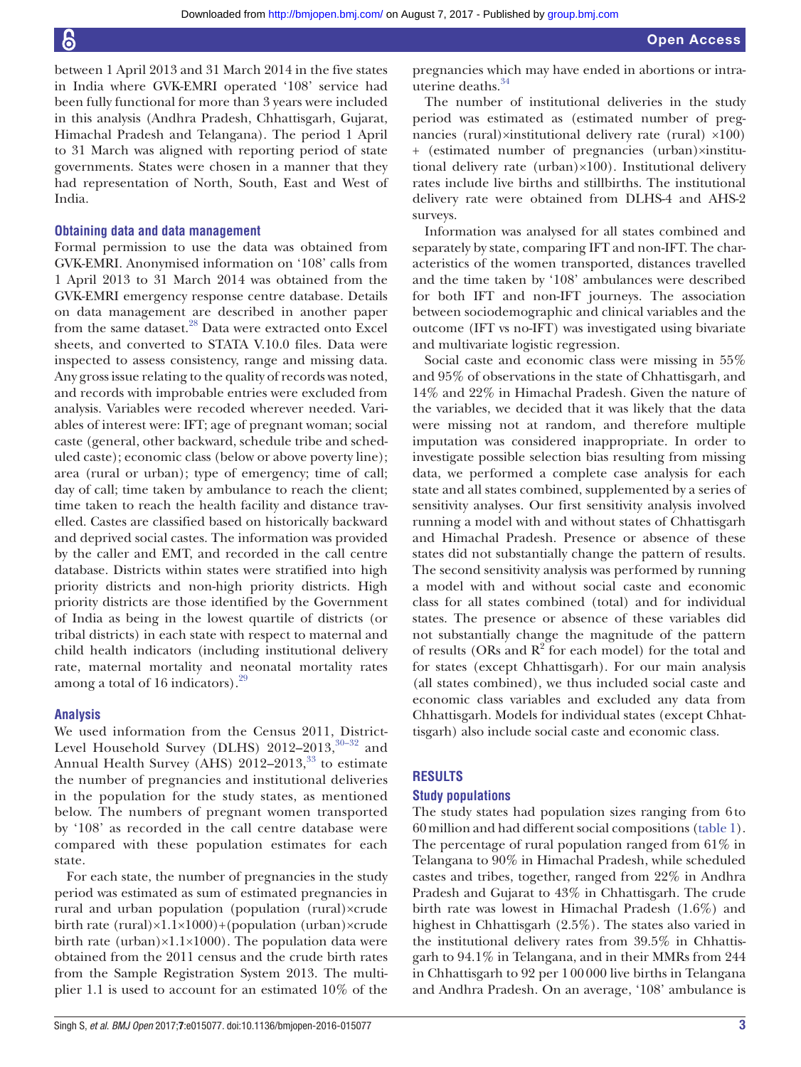between 1 April 2013 and 31 March 2014 in the five states in India where GVK-EMRI operated '108' service had been fully functional for more than 3 years were included in this analysis (Andhra Pradesh, Chhattisgarh, Gujarat, Himachal Pradesh and Telangana). The period 1 April to 31 March was aligned with reporting period of state governments. States were chosen in a manner that they had representation of North, South, East and West of India.

## **Obtaining data and data management**

Formal permission to use the data was obtained from GVK-EMRI. Anonymised information on '108' calls from 1 April 2013 to 31 March 2014 was obtained from the GVK-EMRI emergency response centre database. Details on data management are described in another paper from the same dataset.<sup>28</sup> Data were extracted onto Excel sheets, and converted to STATA V.10.0 files. Data were inspected to assess consistency, range and missing data. Any gross issue relating to the quality of records was noted, and records with improbable entries were excluded from analysis. Variables were recoded wherever needed. Variables of interest were: IFT; age of pregnant woman; social caste (general, other backward, schedule tribe and scheduled caste); economic class (below or above poverty line); area (rural or urban); type of emergency; time of call; day of call; time taken by ambulance to reach the client; time taken to reach the health facility and distance travelled. Castes are classified based on historically backward and deprived social castes. The information was provided by the caller and EMT, and recorded in the call centre database. Districts within states were stratified into high priority districts and non-high priority districts. High priority districts are those identified by the Government of India as being in the lowest quartile of districts (or tribal districts) in each state with respect to maternal and child health indicators (including institutional delivery rate, maternal mortality and neonatal mortality rates among a total of 16 indicators). $29$ 

#### **Analysis**

We used information from the Census 2011, District-Level Household Survey (DLHS)  $2012-2013$ ,  $30-32$  and Annual Health Survey (AHS)  $2012-2013$ ,<sup>[33](#page-11-4)</sup> to estimate the number of pregnancies and institutional deliveries in the population for the study states, as mentioned below. The numbers of pregnant women transported by '108' as recorded in the call centre database were compared with these population estimates for each state.

For each state, the number of pregnancies in the study period was estimated as sum of estimated pregnancies in rural and urban population (population (rural)×crude birth rate (rural)×1.1×1000)+(population (urban)×crude birth rate (urban) $\times$ 1.1 $\times$ 1000). The population data were obtained from the 2011 census and the crude birth rates from the Sample Registration System 2013. The multiplier 1.1 is used to account for an estimated 10% of the

pregnancies which may have ended in abortions or intrauterine deaths[.34](#page-11-5)

The number of institutional deliveries in the study period was estimated as (estimated number of pregnancies (rural)×institutional delivery rate (rural) ×100) + (estimated number of pregnancies (urban)×institutional delivery rate (urban)×100). Institutional delivery rates include live births and stillbirths. The institutional delivery rate were obtained from DLHS-4 and AHS-2 surveys.

Information was analysed for all states combined and separately by state, comparing IFT and non-IFT. The characteristics of the women transported, distances travelled and the time taken by '108' ambulances were described for both IFT and non-IFT journeys. The association between sociodemographic and clinical variables and the outcome (IFT vs no-IFT) was investigated using bivariate and multivariate logistic regression.

Social caste and economic class were missing in 55% and 95% of observations in the state of Chhattisgarh, and 14% and 22% in Himachal Pradesh. Given the nature of the variables, we decided that it was likely that the data were missing not at random, and therefore multiple imputation was considered inappropriate. In order to investigate possible selection bias resulting from missing data, we performed a complete case analysis for each state and all states combined, supplemented by a series of sensitivity analyses. Our first sensitivity analysis involved running a model with and without states of Chhattisgarh and Himachal Pradesh. Presence or absence of these states did not substantially change the pattern of results. The second sensitivity analysis was performed by running a model with and without social caste and economic class for all states combined (total) and for individual states. The presence or absence of these variables did not substantially change the magnitude of the pattern of results (ORs and  $R^2$  for each model) for the total and for states (except Chhattisgarh). For our main analysis (all states combined), we thus included social caste and economic class variables and excluded any data from Chhattisgarh. Models for individual states (except Chhattisgarh) also include social caste and economic class.

## **Results**

#### **Study populations**

The study states had population sizes ranging from 6to 60million and had different social compositions [\(table](#page-3-0) 1). The percentage of rural population ranged from 61% in Telangana to 90% in Himachal Pradesh, while scheduled castes and tribes, together, ranged from 22% in Andhra Pradesh and Gujarat to 43% in Chhattisgarh. The crude birth rate was lowest in Himachal Pradesh (1.6%) and highest in Chhattisgarh (2.5%). The states also varied in the institutional delivery rates from 39.5% in Chhattisgarh to 94.1% in Telangana, and in their MMRs from 244 in Chhattisgarh to 92 per 100000 live births in Telangana and Andhra Pradesh. On an average, '108' ambulance is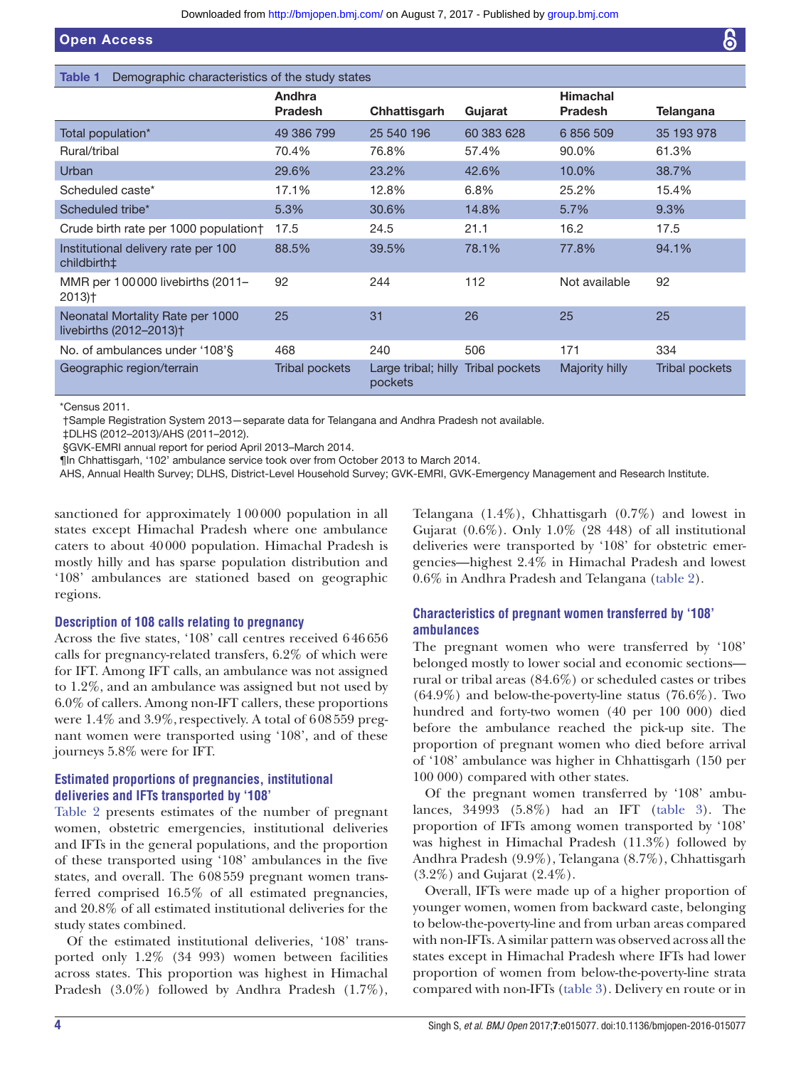<span id="page-3-0"></span>

| Demographic characteristics of the study states<br>Table 1              |                          |                                               |            |                                   |                  |
|-------------------------------------------------------------------------|--------------------------|-----------------------------------------------|------------|-----------------------------------|------------------|
|                                                                         | Andhra<br><b>Pradesh</b> | Chhattisgarh                                  | Gujarat    | <b>Himachal</b><br><b>Pradesh</b> | <b>Telangana</b> |
| Total population*                                                       | 49 386 799               | 25 540 196                                    | 60 383 628 | 6 856 509                         | 35 193 978       |
| Rural/tribal                                                            | 70.4%                    | 76.8%                                         | 57.4%      | 90.0%                             | 61.3%            |
| Urban                                                                   | 29.6%                    | 23.2%                                         | 42.6%      | 10.0%                             | 38.7%            |
| Scheduled caste*                                                        | 17.1%                    | 12.8%                                         | 6.8%       | 25.2%                             | 15.4%            |
| Scheduled tribe*                                                        | 5.3%                     | 30.6%                                         | 14.8%      | 5.7%                              | 9.3%             |
| Crude birth rate per 1000 population†                                   | 17.5                     | 24.5                                          | 21.1       | 16.2                              | 17.5             |
| Institutional delivery rate per 100<br>childbirth‡                      | 88.5%                    | 39.5%                                         | 78.1%      | 77.8%                             | 94.1%            |
| MMR per 100000 livebirths (2011-<br>$2013$ <sup>+</sup>                 | 92                       | 244                                           | 112        | Not available                     | 92               |
| Neonatal Mortality Rate per 1000<br>livebirths (2012-2013) <sup>+</sup> | 25                       | 31                                            | 26         | 25                                | 25               |
| No. of ambulances under '108'§                                          | 468                      | 240                                           | 506        | 171                               | 334              |
| Geographic region/terrain                                               | Tribal pockets           | Large tribal; hilly Tribal pockets<br>pockets |            | Majority hilly                    | Tribal pockets   |

\*Census 2011.

†Sample Registration System 2013—separate data for Telangana and Andhra Pradesh not available.

‡DLHS (2012–2013)/AHS (2011–2012).

§GVK-EMRI annual report for period April 2013–March 2014.

¶In Chhattisgarh, '102' ambulance service took over from October 2013 to March 2014.

AHS, Annual Health Survey; DLHS, District-Level Household Survey; GVK-EMRI, GVK-Emergency Management and Research Institute.

sanctioned for approximately 100000 population in all states except Himachal Pradesh where one ambulance caters to about 40000 population. Himachal Pradesh is mostly hilly and has sparse population distribution and '108' ambulances are stationed based on geographic regions.

#### **Description of 108 calls relating to pregnancy**

Across the five states, '108' call centres received 646656 calls for pregnancy-related transfers, 6.2% of which were for IFT. Among IFT calls, an ambulance was not assigned to 1.2%, and an ambulance was assigned but not used by 6.0% of callers. Among non-IFT callers, these proportions were 1.4% and 3.9%, respectively. A total of 608559 pregnant women were transported using '108', and of these journeys 5.8% were for IFT.

## **Estimated proportions of pregnancies, institutional deliveries and IFTs transported by '108'**

[Table](#page-4-0) 2 presents estimates of the number of pregnant women, obstetric emergencies, institutional deliveries and IFTs in the general populations, and the proportion of these transported using '108' ambulances in the five states, and overall. The 608559 pregnant women transferred comprised 16.5% of all estimated pregnancies, and 20.8% of all estimated institutional deliveries for the study states combined.

Of the estimated institutional deliveries, '108' transported only 1.2% (34 993) women between facilities across states. This proportion was highest in Himachal Pradesh (3.0%) followed by Andhra Pradesh (1.7%),

Telangana (1.4%), Chhattisgarh (0.7%) and lowest in Gujarat  $(0.6\%)$ . Only  $1.0\%$  (28 448) of all institutional deliveries were transported by '108' for obstetric emergencies—highest 2.4% in Himachal Pradesh and lowest 0.6% in Andhra Pradesh and Telangana ([table](#page-4-0) 2).

## **Characteristics of pregnant women transferred by '108' ambulances**

The pregnant women who were transferred by '108' belonged mostly to lower social and economic sections rural or tribal areas (84.6%) or scheduled castes or tribes  $(64.9\%)$  and below-the-poverty-line status  $(76.6\%)$ . Two hundred and forty-two women (40 per 100 000) died before the ambulance reached the pick-up site. The proportion of pregnant women who died before arrival of '108' ambulance was higher in Chhattisgarh (150 per 100 000) compared with other states.

Of the pregnant women transferred by '108' ambulances, 34993 (5.8%) had an IFT [\(table](#page-5-0) 3). The proportion of IFTs among women transported by '108' was highest in Himachal Pradesh (11.3%) followed by Andhra Pradesh (9.9%), Telangana (8.7%), Chhattisgarh (3.2%) and Gujarat (2.4%).

Overall, IFTs were made up of a higher proportion of younger women, women from backward caste, belonging to below-the-poverty-line and from urban areas compared with non-IFTs. A similar pattern was observed across all the states except in Himachal Pradesh where IFTs had lower proportion of women from below-the-poverty-line strata compared with non-IFTs [\(table](#page-5-0) 3). Delivery en route or in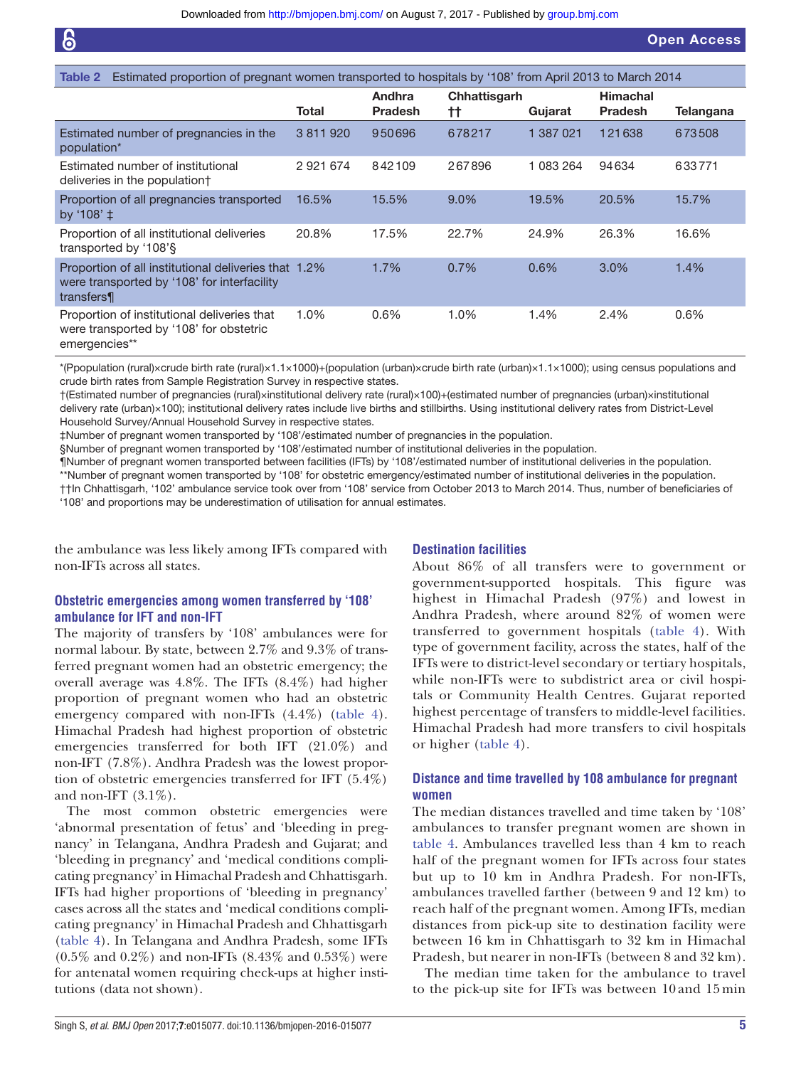<span id="page-4-0"></span>

| Estimated proportion of pregnant women transported to hospitals by '108' from April 2013 to March 2014<br>Table 2 |           |                          |                    |           |                                   |                  |
|-------------------------------------------------------------------------------------------------------------------|-----------|--------------------------|--------------------|-----------|-----------------------------------|------------------|
|                                                                                                                   | Total     | Andhra<br><b>Pradesh</b> | Chhattisgarh<br>tt | Gujarat   | <b>Himachal</b><br><b>Pradesh</b> | <b>Telangana</b> |
| Estimated number of pregnancies in the<br>population*                                                             | 3 811 920 | 950696                   | 678217             | 1 387 021 | 121638                            | 673508           |
| Estimated number of institutional<br>deliveries in the populationt                                                | 2921674   | 842109                   | 267896             | 083 264   | 94634                             | 633771           |
| Proportion of all pregnancies transported<br>by '108' $\pm$                                                       | 16.5%     | 15.5%                    | 9.0%               | 19.5%     | 20.5%                             | 15.7%            |
| Proportion of all institutional deliveries<br>transported by '108'§                                               | 20.8%     | 17.5%                    | 22.7%              | 24.9%     | 26.3%                             | 16.6%            |
| Proportion of all institutional deliveries that 1.2%<br>were transported by '108' for interfacility<br>transfers¶ |           | 1.7%                     | 0.7%               | 0.6%      | 3.0%                              | 1.4%             |
| Proportion of institutional deliveries that<br>were transported by '108' for obstetric<br>emergencies**           | 1.0%      | $0.6\%$                  | 1.0%               | 1.4%      | 2.4%                              | $0.6\%$          |

\*(Ppopulation (rural)×crude birth rate (rural)×1.1×1000)+(population (urban)×crude birth rate (urban)×1.1×1000); using census populations and crude birth rates from Sample Registration Survey in respective states.

†(Estimated number of pregnancies (rural)×institutional delivery rate (rural)×100)+(estimated number of pregnancies (urban)×institutional delivery rate (urban)×100); institutional delivery rates include live births and stillbirths. Using institutional delivery rates from District-Level Household Survey/Annual Household Survey in respective states.

‡Number of pregnant women transported by '108'/estimated number of pregnancies in the population.

§Number of pregnant women transported by '108'/estimated number of institutional deliveries in the population.

¶Number of pregnant women transported between facilities (IFTs) by '108'/estimated number of institutional deliveries in the population.

\*\*Number of pregnant women transported by '108' for obstetric emergency/estimated number of institutional deliveries in the population. ††In Chhattisgarh, '102' ambulance service took over from '108' service from October 2013 to March 2014. Thus, number of beneficiaries of '108' and proportions may be underestimation of utilisation for annual estimates.

the ambulance was less likely among IFTs compared with non-IFTs across all states.

#### **Destination facilities**

## **Obstetric emergencies among women transferred by '108' ambulance for IFT and non-IFT**

The majority of transfers by '108' ambulances were for normal labour. By state, between 2.7% and 9.3% of transferred pregnant women had an obstetric emergency; the overall average was 4.8%. The IFTs (8.4%) had higher proportion of pregnant women who had an obstetric emergency compared with non-IFTs (4.4%) ([table](#page-6-0) 4). Himachal Pradesh had highest proportion of obstetric emergencies transferred for both IFT (21.0%) and non-IFT (7.8%). Andhra Pradesh was the lowest proportion of obstetric emergencies transferred for IFT (5.4%) and non-IFT  $(3.1\%)$ .

The most common obstetric emergencies were 'abnormal presentation of fetus' and 'bleeding in pregnancy' in Telangana, Andhra Pradesh and Gujarat; and 'bleeding in pregnancy' and 'medical conditions complicating pregnancy' in Himachal Pradesh and Chhattisgarh. IFTs had higher proportions of 'bleeding in pregnancy' cases across all the states and 'medical conditions complicating pregnancy' in Himachal Pradesh and Chhattisgarh ([table](#page-6-0) 4). In Telangana and Andhra Pradesh, some IFTs  $(0.5\%$  and  $0.2\%)$  and non-IFTs  $(8.43\%$  and  $0.53\%)$  were for antenatal women requiring check-ups at higher institutions (data not shown).

About 86% of all transfers were to government or government-supported hospitals. This figure was highest in Himachal Pradesh (97%) and lowest in Andhra Pradesh, where around 82% of women were transferred to government hospitals [\(table](#page-6-0) 4). With type of government facility, across the states, half of the IFTs were to district-level secondary or tertiary hospitals, while non-IFTs were to subdistrict area or civil hospitals or Community Health Centres. Gujarat reported highest percentage of transfers to middle-level facilities. Himachal Pradesh had more transfers to civil hospitals or higher ([table](#page-6-0) 4).

## **Distance and time travelled by 108 ambulance for pregnant women**

The median distances travelled and time taken by '108' ambulances to transfer pregnant women are shown in [table](#page-6-0) 4. Ambulances travelled less than 4 km to reach half of the pregnant women for IFTs across four states but up to 10 km in Andhra Pradesh. For non-IFTs, ambulances travelled farther (between 9 and 12 km) to reach half of the pregnant women. Among IFTs, median distances from pick-up site to destination facility were between 16 km in Chhattisgarh to 32 km in Himachal Pradesh, but nearer in non-IFTs (between 8 and 32 km).

The median time taken for the ambulance to travel to the pick-up site for IFTs was between 10 and 15 min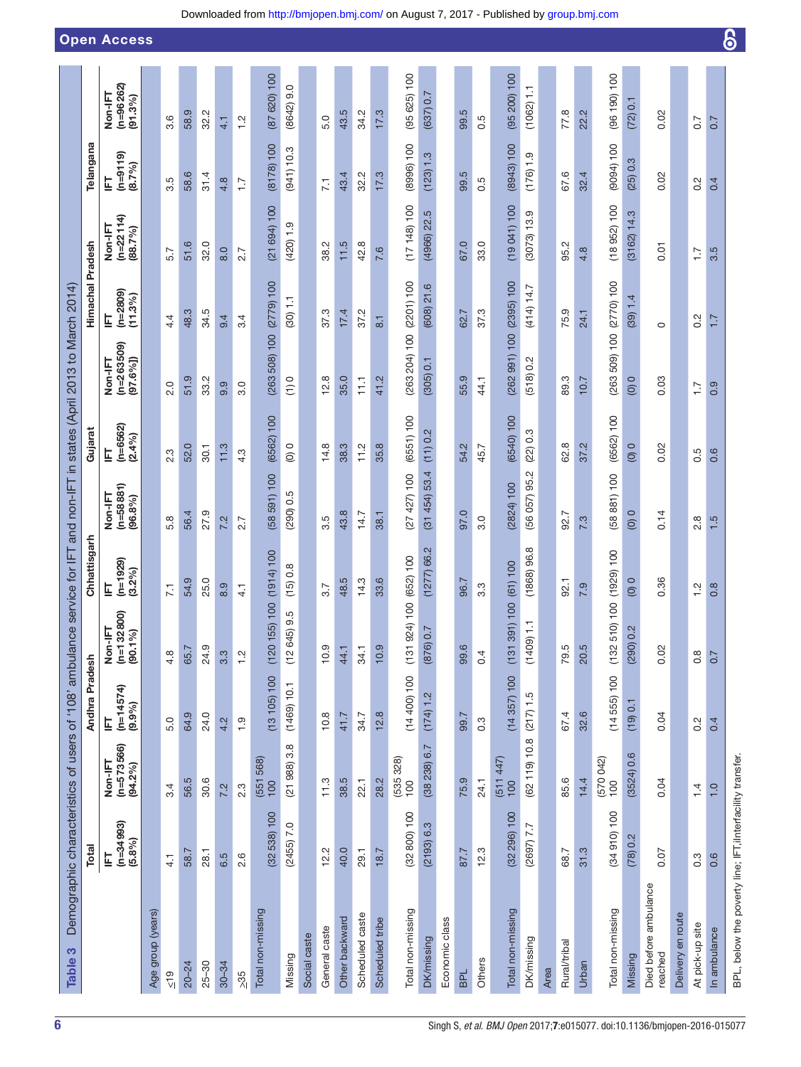<span id="page-5-0"></span>

|                                                                    |                  | <b>Open Access</b>                     |                   |                    |           |           |           |                  |                   |                |              |                 |                |                 |                 |                    |                              |                |            |                  |                     |                          |      |              |       |                   |               |                                  |                   |                  |                   | 6                                                          |
|--------------------------------------------------------------------|------------------|----------------------------------------|-------------------|--------------------|-----------|-----------|-----------|------------------|-------------------|----------------|--------------|-----------------|----------------|-----------------|-----------------|--------------------|------------------------------|----------------|------------|------------------|---------------------|--------------------------|------|--------------|-------|-------------------|---------------|----------------------------------|-------------------|------------------|-------------------|------------------------------------------------------------|
|                                                                    |                  | $(n=96262)$<br>Non-IFT<br>(91.3%)      |                   | 3.6                | 58.9      | 32.2      | 4.1       | $\frac{1}{2}$    | (87 620) 100      | $(8642)$ 9.0   |              | 5.0             | 43.5           | 34.2            | 17.3            | (95625)100         | (637) 0.7                    |                | 99.5       | 0.5              | (95 200) 100        | (1062) 1.1               |      | 77.8         | 22.2  | (96 190) 100      | (72) 0.1      | 0.02                             |                   | 0.7              | 0.7               |                                                            |
|                                                                    | Telangana        | $(n=9119)$<br>(8.7%)<br>₫              |                   | Ю<br>က             | 58.6      | 31.4      | 4.8       | $\overline{1}$ . | (8178) 100        | (941) 10.3     |              | $\overline{71}$ | 43.4           | 32.2            | 17.3            | (8996) 100         | (123) 1.3                    |                | 99.5       | 0.5              | (8943) 100          | (176) 1.9                |      | 67.6         | 32.4  | (9094) 100        | (25) 0.3      | 0.02                             |                   | 0.2              | 0.4               |                                                            |
|                                                                    |                  | $(n=22114)$<br>Non-IFT<br>(88.7%)      |                   | 5.7                | 51.6      | 32.0      | 8.0       | 2.7              | (21694)100        | $(420)$ 1.9    |              | 38.2            | 11.5           | 42.8            | 7.6             | (17148)100         | (4966) 22.5                  |                | 67.0       | 33.0             | (19041)100          | (3073) 13.9              |      | 95.2         | 4.8   | (18952)100        | $(3162)$ 14.3 | 0.01                             |                   | $\ddot{ }$ :     | 3.5               |                                                            |
|                                                                    | Himachal Pradesh | $(n=2809)$<br>$(11.3\%)$<br>팈          |                   | 4.4                | 48.3      | 34.5      | 9.4       | 3.4              | (2779) 100        | (30) 1.1       |              | 37.3            | 17.4           | 37.2            | $\overline{8}$  | (2201) 100         | $(608)$ 21.6                 |                | 62.7       | 37.3             | (2395) 100          | (414) 14.7               |      | 75.9         | 24.1  | (2770) 100        | (39) 1.4      | $\circ$                          |                   | $0.\overline{2}$ | 7.7               |                                                            |
| in states (April 2013 to March 2014)                               |                  | $(n=263509)$<br>$[97.6\%]$<br>Non-IFT  |                   | 2.0                | 51.9      | 33.2      | 9.9       | 3.0              | (263 508) 100     | $\frac{1}{2}$  |              | 12.8            | 35.0           | $\overline{11}$ | 41.2            | (263 204) 100      | (305) 0.1                    |                | 55.9       | 44.1             | (262991)100         | (518) 0.2                |      | 89.3         | 10.7  | (263 509) 100     | $\frac{0}{2}$ | 0.03                             |                   | $\overline{1}$ . | 0.9               |                                                            |
|                                                                    | Gujarat          | $(n=6562)$<br>$(2.4\%)$<br>팈           |                   | 2.3                | 52.0      | 30.1      | 11.3      | 4.3              | (6562) 100        | $\overline{0}$ |              | 14.8            | 38.3           | 11.2            | 35.8            | (6551) 100         | (11) 0.2                     |                | 54.2       | 45.7             | (6540) 100          | (22) 0.3                 |      | 62.8         | 37.2  | (6562) 100        | $\frac{0}{2}$ | 0.02                             |                   | 0.5              | 0.6               |                                                            |
|                                                                    |                  | $(n=58881)$<br>Non-IFT<br>(96.8%)      |                   | 5.8                | 56.4      | 27.9      | 7.2       | 2.7              | (58591)100        | (290) 0.5      |              | 3.5             | 43.8           | 14.7            | 38.1            | (27427)100         | (31454)53.4                  |                | 97.0       | 3.0              | (2824) 100          | (56 057) 95.2            |      | 92.7         | 7.3   | (58881)100        | (0)0          | 0.14                             |                   | 2.8              | 1.5               |                                                            |
| service for IFT and non-IFT                                        | Chhattisgarh     | $(n=1929)$<br>(3.2%)<br>펔              |                   | $\overline{71}$    | 54.9      | 25.0      | 8.9       | $\frac{1}{4}$    | (1914) 100        | (15) 0.8       |              | 3.7             | 48.5           | 14.3            | 33.6            | 4) 100 (652) 100   | (1277)66.2                   |                | 96.7       | $3.\overline{3}$ | (61) 100            | (1868)96.8               |      | 92.1         | 7.9   | 0) 100 (1929) 100 | $\frac{0}{2}$ | 0.36                             |                   | $\frac{2}{1}$    | $0.\overline{8}$  |                                                            |
|                                                                    |                  | Non-IFT<br>(n=132800)<br>$(90.1\%)$    |                   | 4.8                | 65.7      | 24.9      | 3.3       | $\frac{2}{1}$    | (120 155) 100     | 9.5<br>(12645) |              | 10.9            | 44.1           | 34.1            | 10.9            | (131924)           | $\overline{ }$<br>$(876)$ 0. |                | 99.6       | 0.4              | (1) 100<br>(131 39) | $\overline{a}$<br>(1409) |      | 79.5         | 20.5  | (132510)          | (290) 0.2     | 0.02                             |                   | $0.\overline{8}$ | 0.7               |                                                            |
|                                                                    | Andhra Pradesh   | $(n=14574)$<br>$(9.9\%)$<br>톸          |                   | 5.0                | 64.9      | 24.0      | 4.2       | $\frac{0}{1}$    | (13105)100        | (1469) 10.1    |              | 10.8            | 41.7           | 34.7            | 12.8            | (14400)100         | (174) 1.2                    |                | 99.7       | $0.\overline{3}$ | (14357)100          | (217) 1.5                |      | 67.4         | 32.6  | (14555)100        | (19) 0.1      | 0.04                             |                   | $\frac{2}{3}$    | 0.4               |                                                            |
|                                                                    |                  | $(n=5 73 566)$<br>$(94.2%)$<br>Non-IFT |                   | 3.4                | 56.5      | 30.6      | 7.2       | $2.\overline{3}$ | (551 568)<br>100  | (21988)3.8     |              | 11.3            | 38.5           | 22.1            | 28.2            | $(535 328)$<br>100 | (38 238) 6.7                 |                | 75.9       | 24.1             | $(511447)$<br>100   | (62119)10.8              |      | 85.6         | 14.4  | $(570042)$<br>100 | (3524) 0.6    | 0.04                             |                   | 1.4              | $\overline{1}$ .0 |                                                            |
|                                                                    | Total            | $(n=34993)$<br>$(5.8\%)$<br>팈          |                   | $\frac{1}{4}$      | 58.7      | 28.1      | 6.5       | 2.6              | (32538)100        | $(2455)$ 7.0   |              | 12.2            | 40.0           | 29.1            | 18.7            | (32 800) 100       | (2193) 6.3                   |                | 87.7       | 12.3             | (32 296) 100        | (2697) 7.7               |      | 68.7         | 31.3  | (34910)100        | (78) 0.2      | 0.07                             |                   | $0.\overline{3}$ | 0.6               |                                                            |
| Demographic characteristics of users of '108' ambulance<br>Table 3 |                  |                                        | Age group (years) | $rac{9}{\sqrt{2}}$ | $20 - 24$ | $25 - 30$ | $30 - 34$ | $>35$            | Total non-missing | Missing        | Social caste | General caste   | Other backward | Scheduled caste | Scheduled tribe | Total non-missing  | <b>DK/missing</b>            | Economic class | <b>BPL</b> | Others           | Total non-missing   | DK/missing               | Area | Rural/tribal | Urban | Total non-missing | Missing       | Died before ambulance<br>reached | Delivery en route | At pick-up site  | In ambulance      | BPL, below the poverty line; IFT, iInterfacility transfer. |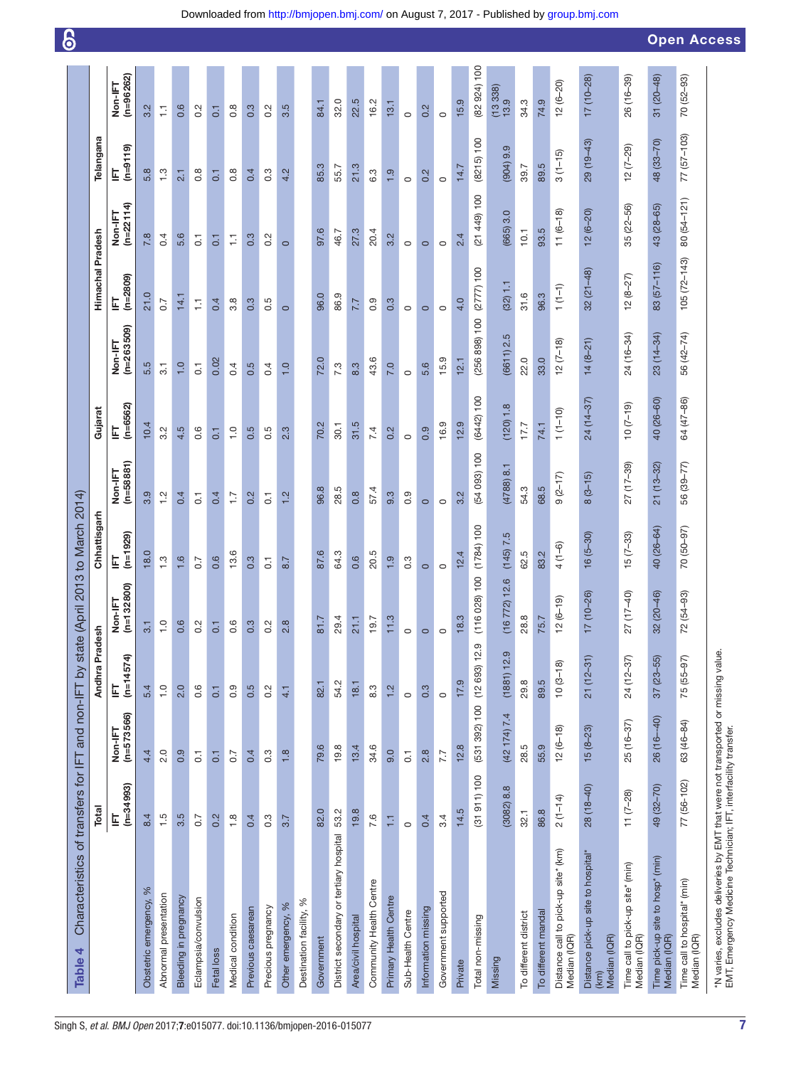<span id="page-6-0"></span>

|                                                                                                                                                       |                  |                       |                  |                         |                            |                      |                 |                       |                  |                       |                 |                        | 6                  |
|-------------------------------------------------------------------------------------------------------------------------------------------------------|------------------|-----------------------|------------------|-------------------------|----------------------------|----------------------|-----------------|-----------------------|------------------|-----------------------|-----------------|------------------------|--------------------|
| Characteristics of transfers for IFT and non-IFT by state<br>Table 4                                                                                  |                  |                       |                  |                         | (April 2013 to March 2014) |                      |                 |                       |                  |                       |                 |                        |                    |
|                                                                                                                                                       | Total            |                       | Andhra Prades    | <u>ء</u>                | Chhattisgarh               |                      | Gujarat         |                       | Himachal Pradesh |                       | Telangana       |                        |                    |
|                                                                                                                                                       | $(n=34993)$<br>팈 | Non-IFT<br>(n=573566) | $(n=14574)$<br>Ę | $(n=132800)$<br>Non-IFT | $(n=1929)$<br>팈            | Non-IFT<br>(n=58881) | $(n=6562)$<br>칩 | Non-IFT<br>(n=263509) | $(n=2809)$<br>토  | Non-IFT<br>(n=22 114) | $(n=9119)$<br>토 | $(n=96262)$<br>Non-IFT |                    |
| Obstetric emergency, %                                                                                                                                | 8.4              | 4.4                   | 5.4              | $3.1\,$                 | 18.0                       | 3.9                  | 10.4            | 5.5                   | 21.0             | 7.8                   | 5.8             | 3.2                    |                    |
| Abnormal presentation                                                                                                                                 | $\frac{5}{1}$    | 2.0                   | $\frac{0}{1}$    | $\overline{a}$          | $\frac{3}{2}$              | $\frac{2}{1}$        | 3.2             | $\overline{3}$ .      | 0.7              | 0.4                   | $\frac{3}{2}$   | Ų                      |                    |
| Bleeding in pregnancy                                                                                                                                 | 3.5              | 0.9                   | 2.0              | 0.6                     | 1.6                        | 0.4                  | 4.5             | $\overline{1}$ .0     | 14.1             | 5.6                   | 2.1             | 0.6                    |                    |
| Eclampsia/convulsion                                                                                                                                  | 0.7              | $\overline{c}$        | 0.6              | Ņ                       | 0.7                        | $\overline{G}$       | 0.6             | $\overline{G}$        | Ξ                | $\overline{c}$        | $\frac{8}{1}$   | 0.2                    |                    |
| Fetal loss                                                                                                                                            | 0.2              | $\overline{G}$        | $\overline{a}$   | $\overline{0}$          | 0.6                        | 0.4                  | $\overline{a}$  | 0.02                  | 0.4              | $\overline{a}$        | $\overline{a}$  | $\overline{a}$         |                    |
| Medical condition                                                                                                                                     | $\frac{8}{1}$    | $\overline{0.7}$      | 0.9              | 0.6                     | 13.6                       | ζ,                   | $\frac{10}{10}$ | 0.4                   | 3.8              | 들                     | 0.8             | 0.8                    |                    |
| Previous caesarean                                                                                                                                    | 0.4              | 0.4                   | 0.5              | 0.3                     | 0.3                        | 0.2                  | 0.5             | 0.5                   | 0.3              | 0.3                   | 0.4             | 0.3                    |                    |
| Precious pregnancy                                                                                                                                    | $0.\overline{3}$ | 0.3                   | 0.2              | ਕ                       | $\overline{c}$             | $\overline{c}$       | 0.5             | 0.4                   | rÚ<br>ö          | 0.2                   | 0.3             | 0.2                    |                    |
| $\%$<br>Other emergency,                                                                                                                              | 3.7              | 1.8                   | 4.1              | 2.8                     | 8.7                        | 1.2                  | 2.3             | $\overline{1}$ .0     | $\circ$          | $\circ$               | 4.2             | 3.5                    |                    |
| Destination facility, %                                                                                                                               |                  |                       |                  |                         |                            |                      |                 |                       |                  |                       |                 |                        |                    |
| Government                                                                                                                                            | 82.0             | 79.6                  | 82.1             | 81.7                    | 87.6                       | 96.8                 | 70.2            | 72.0                  | 96.0             | 97.6                  | 85.3            | 84.1                   |                    |
| District secondary or tertiary hospital                                                                                                               | 53.2             | 19.8                  | 54.2             | 29.4                    | 64.3                       | 28.5                 | 30.1            | 7.3                   | 86.9             | 46.7                  | 55.7            | 32.0                   |                    |
| Area/civil hospital                                                                                                                                   | 19.8             | 13.4                  | 18.1             | 21.1                    | 0.6                        | $0.\overline{8}$     | 31.5            | 8.3                   | 7.7              | 27.3                  | 21.3            | 22.5                   |                    |
| Community Health Centre                                                                                                                               | 7.6              | 34.6                  | 8.3              | 9.7                     | 20.5                       | 57.4                 | 7.4             | 43.6                  | 0.9              | 20.4                  | 6.3             | 16.2                   |                    |
| Primary Health Centre                                                                                                                                 | H                | 9.0                   | 1.2              | 1.3                     | 1.9                        | 9.3                  | 0.2             | 7.0                   | 0.3              | 3.2                   | $\frac{0}{1}$   | 13.1                   |                    |
| Sub-Health Centre                                                                                                                                     | $\circ$          | $\overline{0}$ .      | $\circ$          |                         | $0.\overline{3}$           | 0.9                  | $\circ$         | $\circ$               | $\circ$          | $\circ$               | $\circ$         | $\circ$                |                    |
| Information missing                                                                                                                                   | 0.4              | 2.8                   | 0.3              |                         | $\circ$                    | $\circ$              | 0.9             | 5.6                   | $\circ$          | $\circ$               | 0.2             | 0.2                    |                    |
| Government supported                                                                                                                                  | 3.4              | 7.7                   | $\circ$          |                         | $\circ$                    | $\circ$              | 16.9            | 15.9                  | $\circ$          | $\circ$               | $\circ$         | $\circ$                |                    |
| Private                                                                                                                                               | 14.5             | 12.8                  | 17.9             | 8.3                     | 12.4                       | 3.2                  | 12.9            | 12.1                  | 4.0              | 2.4                   | 14.7            | 15.9                   |                    |
| Total non-missing                                                                                                                                     | (31911)100       | (531 392) 100         | (12693) 12.9     | (116028)100             | (1784) 100                 | (54 093) 100         | (6442) 100      | (256 898) 100         | (2777) 100       | (21449)100            | (8215) 100      | (82924)100             |                    |
| Missing                                                                                                                                               | 8.8<br>(3082)    | (42 174) 7.4          | (1881) 12.9      | 16 772) 12.6            | (145) 7.5                  | $(4788)$ 8.1         | (120) 1.8       | (6611) 2.5            | (32) 1.1         | 3.0<br>(665)          | 9.9<br>(904)    | (13338)<br>13.9        |                    |
| To different district                                                                                                                                 | 32.1             | 28.5                  | 29.8             | 28.8                    | 62.5                       | 54.3                 | 17.7            | 22.0                  | 31.6             | 10.1                  | 39.7            | 34.3                   |                    |
| To different mandal                                                                                                                                   | 86.8             | 55.9                  | 89.5             | 75.7                    | 83.2                       | 68.5                 | 74.1            | 33.0                  | 96.3             | 93.5                  | 89.5            | 74.9                   |                    |
| Distance call to pick-up site* (km)<br>Median (IQR)                                                                                                   | $2(1-14)$        | $12(6-18)$            | $10(3-18)$       | $12(6-19)$              | $4(1-6)$                   | $9(2-17)$            | $(1 - 1)$       | $12(7-18)$            | $1(1-1)$         | $11 (6 - 18)$         | $3(1 - 15)$     | $12(6 - 20)$           |                    |
| Distance pick-up site to hospital*<br>Median (IQR)<br>(km)                                                                                            | $28(18-40)$      | $15(8-23)$            | $21(12-31)$      | $17(10-26)$             | $16(5-30)$                 | $8(3-15)$            | 24 (14-37)      | $14(8-21)$            | $32(21-48)$      | $12(6-20)$            | $29(19-43)$     | $17(10-28)$            |                    |
| Time call to pick-up site* (min)<br>Median (IQR)                                                                                                      | $11(7-28)$       | 25 (16-37)            | 24 (12-37)       | 27 (17-40)              | $15(7-33)$                 | 27 (17-39)           | $(61 - 7)$ 01   | 24 (16-34)            | $12(8-27)$       | $35(22 - 56)$         | $12(7-29)$      | 26 (16-39)             |                    |
| Time pick-up site to hosp* (min)<br>Median (IQR)                                                                                                      | 49 (32-70)       | 26 (16-40)            | $37(23 - 55)$    | 32 (20-46)              | 40 (26-64)                 | $21(13-32)$          | 40 (26-60)      | $23(14-34)$           | 83 (57-116)      | 43 (28-65)            | 48 (33-70)      | $31(20-48)$            |                    |
| Time call to hospital* (min)<br>Median (IQR)                                                                                                          | 77 (56-102)      | 63 (46-84)            | 75 (55-97)       | 72 (54-93)              | 70 (50-97)                 | 56 (39-77)           | 64 (47-86)      | 56 (42-74)            | $105(72 - 143)$  | 80 (54-121)           | 77 (57-103)     | 70 (52-93)             |                    |
| *N varies, excludes deliveries by EMT that were not transported or missing value.<br>EMT, Emergency Medicine Technician; IFT, interfacility transfer. |                  |                       |                  |                         |                            |                      |                 |                       |                  |                       |                 |                        | <b>Open Access</b> |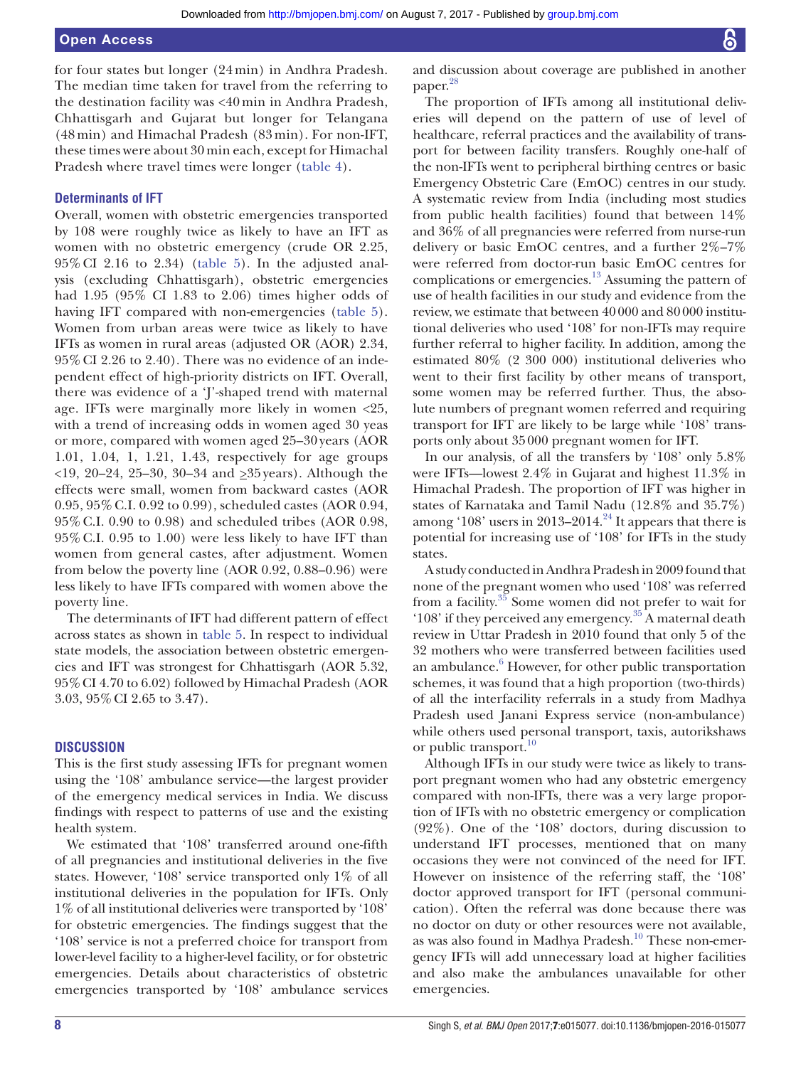for four states but longer (24 min) in Andhra Pradesh. The median time taken for travel from the referring to the destination facility was <40 min in Andhra Pradesh, Chhattisgarh and Gujarat but longer for Telangana (48 min) and Himachal Pradesh (83 min). For non-IFT, these times were about 30 min each, except for Himachal Pradesh where travel times were longer [\(table](#page-6-0) 4).

## **Determinants of IFT**

Overall, women with obstetric emergencies transported by 108 were roughly twice as likely to have an IFT as women with no obstetric emergency (crude OR 2.25, 95%CI 2.16 to 2.34) ([table](#page-8-0) 5). In the adjusted analysis (excluding Chhattisgarh), obstetric emergencies had 1.95 (95% CI 1.83 to 2.06) times higher odds of having IFT compared with non-emergencies [\(table](#page-8-0) 5). Women from urban areas were twice as likely to have IFTs as women in rural areas (adjusted OR (AOR) 2.34, 95%CI 2.26 to 2.40). There was no evidence of an independent effect of high-priority districts on IFT. Overall, there was evidence of a 'J'-shaped trend with maternal age. IFTs were marginally more likely in women <25, with a trend of increasing odds in women aged 30 yeas or more, compared with women aged 25–30 years (AOR 1.01, 1.04, 1, 1.21, 1.43, respectively for age groups  $\langle 19, 20-24, 25-30, 30-34 \rangle$  and  $\geq 35$  years). Although the effects were small, women from backward castes (AOR 0.95, 95%C.I. 0.92 to 0.99), scheduled castes (AOR 0.94, 95%C.I. 0.90 to 0.98) and scheduled tribes (AOR 0.98, 95%C.I. 0.95 to 1.00) were less likely to have IFT than women from general castes, after adjustment. Women from below the poverty line (AOR 0.92, 0.88–0.96) were less likely to have IFTs compared with women above the poverty line.

The determinants of IFT had different pattern of effect across states as shown in [table](#page-8-0) 5. In respect to individual state models, the association between obstetric emergencies and IFT was strongest for Chhattisgarh (AOR 5.32, 95%CI 4.70 to 6.02) followed by Himachal Pradesh (AOR 3.03, 95%CI 2.65 to 3.47).

## **Discussion**

This is the first study assessing IFTs for pregnant women using the '108' ambulance service—the largest provider of the emergency medical services in India. We discuss findings with respect to patterns of use and the existing health system.

We estimated that '108' transferred around one-fifth of all pregnancies and institutional deliveries in the five states. However, '108' service transported only 1% of all institutional deliveries in the population for IFTs. Only 1% of all institutional deliveries were transported by '108' for obstetric emergencies. The findings suggest that the '108' service is not a preferred choice for transport from lower-level facility to a higher-level facility, or for obstetric emergencies. Details about characteristics of obstetric emergencies transported by '108' ambulance services

and discussion about coverage are published in another paper.<sup>28</sup>

The proportion of IFTs among all institutional deliveries will depend on the pattern of use of level of healthcare, referral practices and the availability of transport for between facility transfers. Roughly one-half of the non-IFTs went to peripheral birthing centres or basic Emergency Obstetric Care (EmOC) centres in our study. A systematic review from India (including most studies from public health facilities) found that between 14% and 36% of all pregnancies were referred from nurse-run delivery or basic EmOC centres, and a further 2%–7% were referred from doctor-run basic EmOC centres for complications or emergencies[.13](#page-10-14) Assuming the pattern of use of health facilities in our study and evidence from the review, we estimate that between 40000 and 80000 institutional deliveries who used '108' for non-IFTs may require further referral to higher facility. In addition, among the estimated 80% (2 300 000) institutional deliveries who went to their first facility by other means of transport, some women may be referred further. Thus, the absolute numbers of pregnant women referred and requiring transport for IFT are likely to be large while '108' transports only about 35000 pregnant women for IFT.

In our analysis, of all the transfers by '108' only 5.8% were IFTs—lowest 2.4% in Gujarat and highest 11.3% in Himachal Pradesh. The proportion of IFT was higher in states of Karnataka and Tamil Nadu (12.8% and 35.7%) among '108' users in 2013–2014.<sup>[24](#page-10-15)</sup> It appears that there is potential for increasing use of '108' for IFTs in the study states.

A study conducted in Andhra Pradesh in 2009 found that none of the pregnant women who used '108' was referred from a facility[.35](#page-11-6) Some women did not prefer to wait for '108' if they perceived any emergency.[35](#page-11-6) A maternal death review in Uttar Pradesh in 2010 found that only 5 of the 32 mothers who were transferred between facilities used an ambulance. $6$  However, for other public transportation schemes, it was found that a high proportion (two-thirds) of all the interfacility referrals in a study from Madhya Pradesh used Janani Express service (non-ambulance) while others used personal transport, taxis, autorikshaws or public transport.<sup>10</sup>

Although IFTs in our study were twice as likely to transport pregnant women who had any obstetric emergency compared with non-IFTs, there was a very large proportion of IFTs with no obstetric emergency or complication (92%). One of the '108' doctors, during discussion to understand IFT processes, mentioned that on many occasions they were not convinced of the need for IFT. However on insistence of the referring staff, the '108' doctor approved transport for IFT (personal communication). Often the referral was done because there was no doctor on duty or other resources were not available, as was also found in Madhya Pradesh.<sup>[10](#page-10-6)</sup> These non-emergency IFTs will add unnecessary load at higher facilities and also make the ambulances unavailable for other emergencies.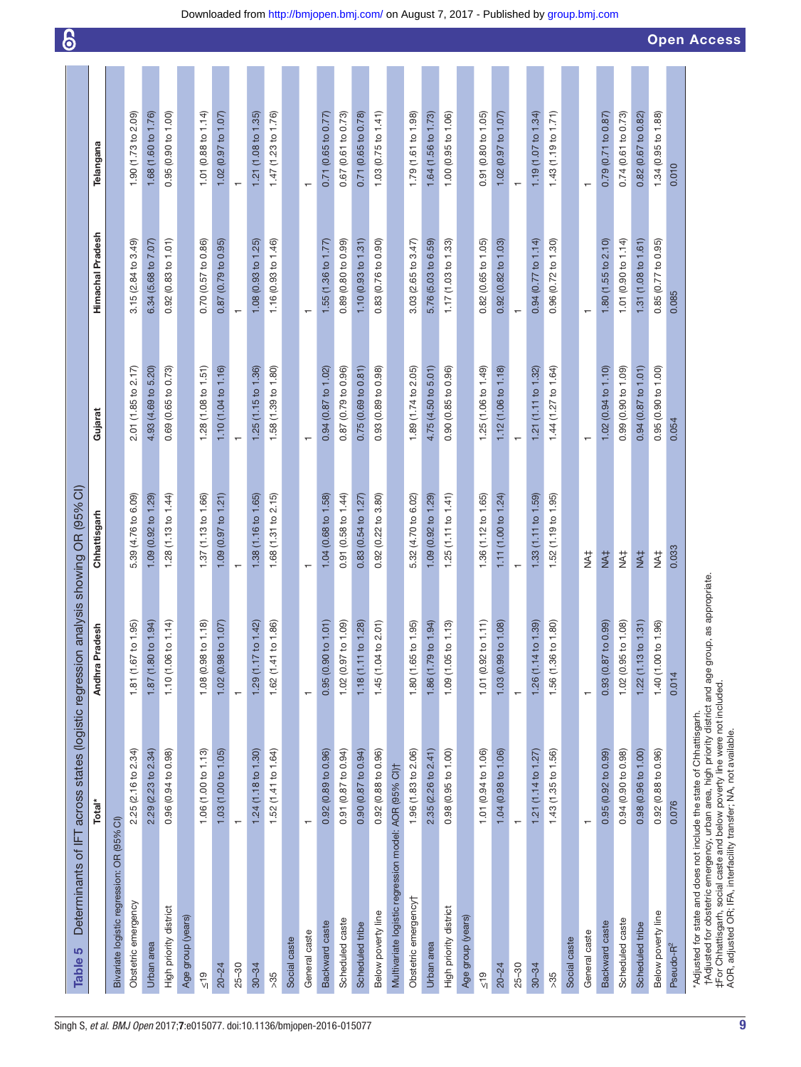<span id="page-8-0"></span>

| S<br><b>Table</b>                                                                                                                                                                                                                                                                                                             | Determinants of IFT across states (logistic regression analysis showing OR (95% CI) |                                            |                          |                                |                          |                                | $\bf{6}$           |
|-------------------------------------------------------------------------------------------------------------------------------------------------------------------------------------------------------------------------------------------------------------------------------------------------------------------------------|-------------------------------------------------------------------------------------|--------------------------------------------|--------------------------|--------------------------------|--------------------------|--------------------------------|--------------------|
|                                                                                                                                                                                                                                                                                                                               | Total*                                                                              | Andhra Pradesh                             | Chhattisgarh             | Gujarat                        | Himachal Pradesh         | Telangana                      |                    |
| Bivariate logistic regression: OR (95%                                                                                                                                                                                                                                                                                        | ົວົ                                                                                 |                                            |                          |                                |                          |                                |                    |
| Obstetric emergency                                                                                                                                                                                                                                                                                                           | 2.25 (2.16 to 2.34)                                                                 | 1.81 (1.67 to 1.95)                        | 5.39 (4.76 to 6.09)      | 2.01 (1.85 to 2.17)            | 3.15 (2.84 to 3.49)      | 1.90 (1.73 to 2.09)            |                    |
| Urban area                                                                                                                                                                                                                                                                                                                    | 2.29 (2.23 to 2.34)                                                                 | 1.87 (1.80 to 1.94)                        | 1.09 (0.92 to 1.29)      | 4.93 (4.69 to 5.20)            | 6.34 (5.68 to 7.07)      | 1.68 (1.60 to 1.76)            |                    |
| High priority district                                                                                                                                                                                                                                                                                                        | 0.96 (0.94 to 0.98)                                                                 | $\overline{4}$<br>1.10(1.06 to 1.          | 1.28(1.13 to 1.44)       | 0.69 (0.65 to 0.73)            | 0.92(0.83 to 1.01)       | 0.95 (0.90 to 1.00)            |                    |
| Age group (years)                                                                                                                                                                                                                                                                                                             |                                                                                     |                                            |                          |                                |                          |                                |                    |
| $rac{6}{\sqrt{2}}$                                                                                                                                                                                                                                                                                                            | 1.06 (1.00 to 1.13)                                                                 | $\frac{1}{2}$<br>1.08 (0.98 to 1.          | 1.37 (1.13 to 1.66)      | 1.28 $(1.08 \text{ to } 1.51)$ | 0.70 (0.57 to 0.86)      | 1.01 (0.88 to 1.14)            |                    |
| $20 - 24$                                                                                                                                                                                                                                                                                                                     | 1.03 (1.00 to 1.05)                                                                 | 1.02 (0.98 to 1.07)                        | 1.09(0.97 to 1.21)       | 1.10 (1.04 to 1.16)            | 0.87(0.79 to 0.95)       | 1.02 (0.97 to 1.07)            |                    |
| $25 - 30$                                                                                                                                                                                                                                                                                                                     | $\overline{\phantom{0}}$                                                            | $\overline{\phantom{0}}$                   |                          |                                | $\overline{\phantom{0}}$ | $\overline{\phantom{0}}$       |                    |
| $30 - 34$                                                                                                                                                                                                                                                                                                                     | 1.24(1.18 to 1.30)                                                                  | 1.29 (1.17 to 1.42)                        | 1.38 (1.16 to 1.65)      | 1.25 (1.15 to 1.36)            | 1.08 (0.93 to 1.25)      | 1.21(1.08 to 1.35)             |                    |
| $>35$                                                                                                                                                                                                                                                                                                                         | 1.52 (1.41 to 1.64)                                                                 | 1.62 (1.41 to 1.86)                        | 1.68 $(1.31$ to $2.15)$  | 1.58 (1.39 to 1.80)            | 1.16 (0.93 to 1.46)      | 1.47 (1.23 to 1.76)            |                    |
| Social caste                                                                                                                                                                                                                                                                                                                  |                                                                                     |                                            |                          |                                |                          |                                |                    |
| General caste                                                                                                                                                                                                                                                                                                                 | $\overline{\phantom{0}}$                                                            | $\overline{\phantom{0}}$                   | $\overline{ }$           | $\overline{\phantom{0}}$       | $\overline{ }$           | $\overline{ }$                 |                    |
| Backward caste                                                                                                                                                                                                                                                                                                                | 0.92(0.89 to 0.96)                                                                  | 0.95(0.90 to 1.01)                         | 1.04 (0.68 to 1.58)      | 0.94(0.87 to 1.02)             | 1.55 (1.36 to 1.77)      | 0.71(0.65 to 0.77)             |                    |
| Scheduled caste                                                                                                                                                                                                                                                                                                               | $0.91$ $(0.87$ to $0.94)$                                                           | 1.02 (0.97 to 1.09)                        | 0.91 (0.58 to 1.44)      | 0.87 (0.79 to 0.96)            | 0.89 (0.80 to 0.99)      | 0.67 (0.61 to 0.73)            |                    |
| Scheduled tribe                                                                                                                                                                                                                                                                                                               | 0.90 (0.87 to 0.94)                                                                 | 1.18 (1.11 to 1.28)                        | 0.83 (0.54 to 1.27)      | 0.75(0.69 to 0.81)             | 1.10(0.93 to 1.31)       | 0.71 (0.65 to 0.78)            |                    |
| Below poverty line                                                                                                                                                                                                                                                                                                            | 0.92 (0.88 to 0.96)                                                                 | 1.45 (1.04 to 2.01)                        | 0.92 (0.22 to 3.80)      | 0.93 (0.89 to 0.98)            | 0.83 (0.76 to 0.90)      | 1.03 (0.75 to 1.41)            |                    |
| Multivariate logistic regression model: AOR (95% CI)t                                                                                                                                                                                                                                                                         |                                                                                     |                                            |                          |                                |                          |                                |                    |
| Obstetric emergency†                                                                                                                                                                                                                                                                                                          | 1.96 (1.83 to 2.06)                                                                 | 1.80 (1.65 to 1.95)                        | 5.32 (4.70 to 6.02)      | 1.89 (1.74 to 2.05)            | $3.03(2.65)$ to $3.47$   | 1.79 (1.61 to 1.98)            |                    |
| Urban area                                                                                                                                                                                                                                                                                                                    | 2.35 (2.26 to 2.41)                                                                 | 1.86 (1.79 to 1.94)                        | 1.09 (0.92 to 1.29)      | 4.75 (4.50 to 5.01)            | 5.76 (5.03 to 6.59)      | 1.64 (1.56 to 1.73)            |                    |
| High priority district                                                                                                                                                                                                                                                                                                        | 0.98 (0.95 to 1.00)                                                                 | $\overline{13}$<br>1.09(1.05 to 1.         | 1.25(1.11 to 1.41)       | 0.90 (0.85 to 0.96)            | 1.17 (1.03 to 1.33)      | 1.00 (0.95 to 1.06)            |                    |
| Age group (years)                                                                                                                                                                                                                                                                                                             |                                                                                     |                                            |                          |                                |                          |                                |                    |
| $\frac{9}{5}$                                                                                                                                                                                                                                                                                                                 | 1.01 (0.94 to 1.06)                                                                 | $\widehat{\mathsf{L}}$<br>1.01 (0.92 to 1. | 1.36 (1.12 to 1.65)      | 1.25 (1.06 to 1.49)            | 0.82 (0.65 to 1.05)      | 0.91 (0.80 to 1.05)            |                    |
| $20 - 24$                                                                                                                                                                                                                                                                                                                     | 1.04 (0.98 to 1.06)                                                                 | 1.03 (0.99 to 1.08)                        | 1.11(1.00 to 1.24)       | 1.12 (1.06 to 1.18)            | 0.92 (0.82 to 1.03)      | 1.02 (0.97 to 1.07)            |                    |
| $25 - 30$                                                                                                                                                                                                                                                                                                                     | $\leftarrow$                                                                        | $\overline{\phantom{0}}$                   | $\overline{\phantom{0}}$ | $\overline{\phantom{m}}$       | $\overline{\phantom{m}}$ | $\leftarrow$                   |                    |
| $30 - 34$                                                                                                                                                                                                                                                                                                                     | 1.21 (1.14 to 1.27)                                                                 | 1.26 (1.14 to 1.39)                        | 1.33 (1.11 to 1.59)      | 1.21 (1.11 to 1.32)            | 0.94 (0.77 to 1.14)      | 1.19 $(1.07 \text{ to } 1.34)$ |                    |
| >35                                                                                                                                                                                                                                                                                                                           | 1.43 (1.35 to 1.56)                                                                 | 1.56 (1.36 to 1.80)                        | 1.52 (1.19 to 1.95)      | 1.44 (1.27 to 1.64)            | 0.96 (0.72 to 1.30)      | 1.43 (1.19 to 1.71)            |                    |
| Social caste                                                                                                                                                                                                                                                                                                                  |                                                                                     |                                            |                          |                                |                          |                                |                    |
| General caste                                                                                                                                                                                                                                                                                                                 | $\overline{ }$                                                                      | $\overline{\phantom{0}}$                   | #X                       | $\overline{\phantom{0}}$       | $\overline{\phantom{0}}$ | $\overline{\phantom{0}}$       |                    |
| Backward caste                                                                                                                                                                                                                                                                                                                | 0.95(0.92 to 0.99)                                                                  | 0.93 (0.87 to 0.99)                        | <b>NA‡</b>               | 1.02(0.94 to 1.10)             | 1.80 (1.55 to 2.10)      | 0.79 (0.71 to 0.87)            |                    |
| Scheduled caste                                                                                                                                                                                                                                                                                                               | 0.94 (0.90 to 0.98)                                                                 | 1.02 (0.95 to 1.08)                        | #¥                       | 0.99 (0.90 to 1.09)            | 1.01 (0.90 to 1.14)      | 0.74 (0.61 to 0.73)            |                    |
| Scheduled tribe                                                                                                                                                                                                                                                                                                               | 0.98 (0.96 to 1.00)                                                                 | $1.22$ (1.13 to 1.31)                      | NA‡                      | 0.94 (0.87 to 1.01)            | 1.31(1.08 to 1.61)       | 0.82 (0.67 to 0.82)            |                    |
| Below poverty line                                                                                                                                                                                                                                                                                                            | 0.92 (0.88 to 0.96)                                                                 | 1.40 (1.00 to 1.96)                        | #XH                      | 0.95 (0.90 to 1.00)            | 0.85 (0.77 to 0.95)      | 1.34 (0.95 to 1.88)            |                    |
| Pseudo-R <sup>2</sup>                                                                                                                                                                                                                                                                                                         | 0.076                                                                               | 0.014                                      | 0.033                    | 0.054                          | 0.085                    | 0.010                          |                    |
| t Adjusted for obstetric emergency, urban area, high priority district and age group, as appropriate<br>‡For Chhattisgarh, social caste and below poverty line were not included.<br>AOR, adjusted OR; IFA, interfacility transfer; NA, not available.<br>'Adjusted for state and does not include the state of Chhattisgarh. |                                                                                     |                                            |                          |                                |                          |                                | <b>Open Access</b> |

Downloaded from<http://bmjopen.bmj.com/>on August 7, 2017 - Published by [group.bmj.com](http://group.bmj.com)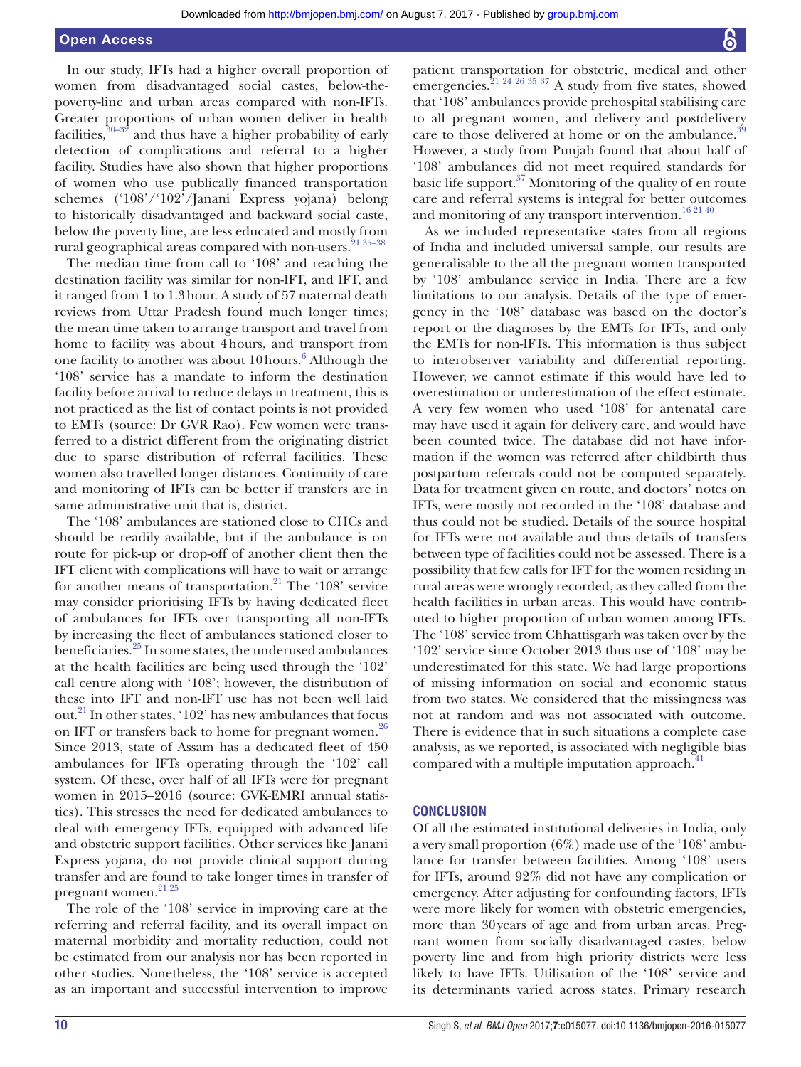## Open Access

In our study, IFTs had a higher overall proportion of women from disadvantaged social castes, below-thepoverty-line and urban areas compared with non-IFTs. Greater proportions of urban women deliver in health facilities, $30-32$  and thus have a higher probability of early detection of complications and referral to a higher facility. Studies have also shown that higher proportions of women who use publically financed transportation schemes ('108'/'102'/Janani Express yojana) belong to historically disadvantaged and backward social caste, below the poverty line, are less educated and mostly from rural geographical areas compared with non-users.<sup>21 35-38</sup>

The median time from call to '108' and reaching the destination facility was similar for non-IFT, and IFT, and it ranged from 1 to 1.3hour. A study of 57 maternal death reviews from Uttar Pradesh found much longer times; the mean time taken to arrange transport and travel from home to facility was about 4hours, and transport from one facility to another was about 10 hours.<sup>[6](#page-10-16)</sup> Although the '108' service has a mandate to inform the destination facility before arrival to reduce delays in treatment, this is not practiced as the list of contact points is not provided to EMTs (source: Dr GVR Rao). Few women were transferred to a district different from the originating district due to sparse distribution of referral facilities. These women also travelled longer distances. Continuity of care and monitoring of IFTs can be better if transfers are in same administrative unit that is, district.

The '108' ambulances are stationed close to CHCs and should be readily available, but if the ambulance is on route for pick-up or drop-off of another client then the IFT client with complications will have to wait or arrange for another means of transportation.<sup>21</sup> The '108' service may consider prioritising IFTs by having dedicated fleet of ambulances for IFTs over transporting all non-IFTs by increasing the fleet of ambulances stationed closer to beneficiaries.[25](#page-10-17) In some states, the underused ambulances at the health facilities are being used through the '102' call centre along with '108'; however, the distribution of these into IFT and non-IFT use has not been well laid out.<sup>21</sup> In other states, '102' has new ambulances that focus on IFT or transfers back to home for pregnant women.<sup>[26](#page-10-12)</sup> Since 2013, state of Assam has a dedicated fleet of 450 ambulances for IFTs operating through the '102' call system. Of these, over half of all IFTs were for pregnant women in 2015–2016 (source: GVK-EMRI annual statistics). This stresses the need for dedicated ambulances to deal with emergency IFTs, equipped with advanced life and obstetric support facilities. Other services like Janani Express yojana, do not provide clinical support during transfer and are found to take longer times in transfer of pregnant women.<sup>21</sup> <sup>25</sup>

The role of the '108' service in improving care at the referring and referral facility, and its overall impact on maternal morbidity and mortality reduction, could not be estimated from our analysis nor has been reported in other studies. Nonetheless, the '108' service is accepted as an important and successful intervention to improve

patient transportation for obstetric, medical and other emergencies.  $21\frac{24\frac{26\frac{35\frac{37}{3}}{3}}{24}$  A study from five states, showed that '108' ambulances provide prehospital stabilising care to all pregnant women, and delivery and postdelivery care to those delivered at home or on the ambulance.<sup>[39](#page-11-7)</sup> However, a study from Punjab found that about half of '108' ambulances did not meet required standards for basic life support.[37](#page-11-8) Monitoring of the quality of en route care and referral systems is integral for better outcomes and monitoring of any transport intervention.<sup>16 21 40</sup>

As we included representative states from all regions of India and included universal sample, our results are generalisable to the all the pregnant women transported by '108' ambulance service in India. There are a few limitations to our analysis. Details of the type of emergency in the '108' database was based on the doctor's report or the diagnoses by the EMTs for IFTs, and only the EMTs for non-IFTs. This information is thus subject to interobserver variability and differential reporting. However, we cannot estimate if this would have led to overestimation or underestimation of the effect estimate. A very few women who used '108' for antenatal care may have used it again for delivery care, and would have been counted twice. The database did not have information if the women was referred after childbirth thus postpartum referrals could not be computed separately. Data for treatment given en route, and doctors' notes on IFTs, were mostly not recorded in the '108' database and thus could not be studied. Details of the source hospital for IFTs were not available and thus details of transfers between type of facilities could not be assessed. There is a possibility that few calls for IFT for the women residing in rural areas were wrongly recorded, as they called from the health facilities in urban areas. This would have contributed to higher proportion of urban women among IFTs. The '108' service from Chhattisgarh was taken over by the '102' service since October 2013 thus use of '108' may be underestimated for this state. We had large proportions of missing information on social and economic status from two states. We considered that the missingness was not at random and was not associated with outcome. There is evidence that in such situations a complete case analysis, as we reported, is associated with negligible bias compared with a multiple imputation approach. $4$ 

#### **Conclusion**

Of all the estimated institutional deliveries in India, only a very small proportion (6%) made use of the '108' ambulance for transfer between facilities. Among '108' users for IFTs, around 92% did not have any complication or emergency. After adjusting for confounding factors, IFTs were more likely for women with obstetric emergencies, more than 30years of age and from urban areas. Pregnant women from socially disadvantaged castes, below poverty line and from high priority districts were less likely to have IFTs. Utilisation of the '108' service and its determinants varied across states. Primary research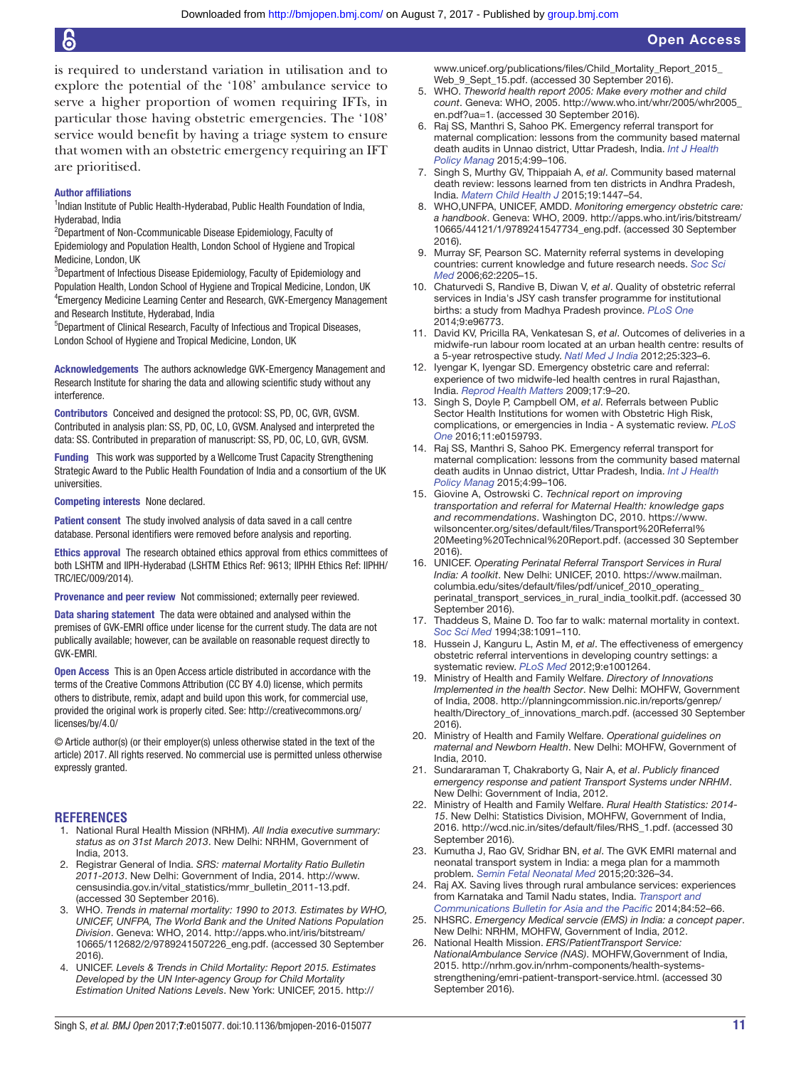is required to understand variation in utilisation and to explore the potential of the '108' ambulance service to serve a higher proportion of women requiring IFTs, in particular those having obstetric emergencies. The '108' service would benefit by having a triage system to ensure that women with an obstetric emergency requiring an IFT are prioritised.

#### Author affiliations

<sup>1</sup>Indian Institute of Public Health-Hyderabad, Public Health Foundation of India, Hyderabad, India

<sup>2</sup>Department of Non-Ccommunicable Disease Epidemiology, Faculty of Epidemiology and Population Health, London School of Hygiene and Tropical Medicine, London, UK

<sup>3</sup>Department of Infectious Disease Epidemiology, Faculty of Epidemiology and Population Health, London School of Hygiene and Tropical Medicine, London, UK 4 Emergency Medicine Learning Center and Research, GVK-Emergency Management and Research Institute, Hyderabad, India

5 Department of Clinical Research, Faculty of Infectious and Tropical Diseases, London School of Hygiene and Tropical Medicine, London, UK

Acknowledgements The authors acknowledge GVK-Emergency Management and Research Institute for sharing the data and allowing scientific study without any interference.

Contributors Conceived and designed the protocol: SS, PD, OC, GVR, GVSM. Contributed in analysis plan: SS, PD, OC, LO, GVSM. Analysed and interpreted the data: SS. Contributed in preparation of manuscript: SS, PD, OC, LO, GVR, GVSM.

Funding This work was supported by a Wellcome Trust Capacity Strengthening Strategic Award to the Public Health Foundation of India and a consortium of the UK universities.

Competing interests None declared.

Patient consent The study involved analysis of data saved in a call centre database. Personal identifiers were removed before analysis and reporting.

Ethics approval The research obtained ethics approval from ethics committees of both LSHTM and IIPH-Hyderabad (LSHTM Ethics Ref: 9613; IIPHH Ethics Ref: IIPHH/ TRC/IEC/009/2014).

Provenance and peer review Not commissioned; externally peer reviewed.

Data sharing statement The data were obtained and analysed within the premises of GVK-EMRI office under license for the current study. The data are not publically available; however, can be available on reasonable request directly to GVK-EMRI.

Open Access This is an Open Access article distributed in accordance with the terms of the Creative Commons Attribution (CC BY 4.0) license, which permits others to distribute, remix, adapt and build upon this work, for commercial use, provided the original work is properly cited. See: [http://creativecommons.org/](http://creativecommons.org/licenses/by/4.0/) [licenses/by/4.0/](http://creativecommons.org/licenses/by/4.0/)

© Article author(s) (or their employer(s) unless otherwise stated in the text of the article) 2017. All rights reserved. No commercial use is permitted unless otherwise expressly granted.

#### **References**

- <span id="page-10-0"></span>1. National Rural Health Mission (NRHM). *All India executive summary: status as on 31st March 2013*. New Delhi: NRHM, Government of India, 2013.
- <span id="page-10-1"></span>2. Registrar General of India. *SRS: maternal Mortality Ratio Bulletin 2011-2013*. New Delhi: Government of India, 2014. [http://www.](http://www.censusindia.gov.in/vital_statistics/mmr_bulletin_2011-13.pdf) [censusindia.gov.in/vital\\_statistics/mmr\\_bulletin\\_2011-13.pdf.](http://www.censusindia.gov.in/vital_statistics/mmr_bulletin_2011-13.pdf) (accessed 30 September 2016).
- <span id="page-10-2"></span>3. WHO. *Trends in maternal mortality: 1990 to 2013. Estimates by WHO, UNICEF, UNFPA, The World Bank and the United Nations Population Division*. Geneva: WHO, 2014. [http://apps.who.int/iris/bitstream/](http://apps.who.int/iris/bitstream/10665/112682/2/9789241507226_eng.pdf) [10665/112682/2/9789241507226\\_eng.pdf.](http://apps.who.int/iris/bitstream/10665/112682/2/9789241507226_eng.pdf) (accessed 30 September 2016)
- <span id="page-10-3"></span>4. UNICEF. *Levels & Trends in Child Mortality: Report 2015. Estimates Developed by the UN Inter-agency Group for Child Mortality Estimation United Nations Levels*. New York: UNICEF, 2015. [http://](http://www.unicef.org/publications/files/Child_Mortality_Report_2015_Web_9_Sept_15.pdf)

[www.unicef.org/publications/files/Child\\_Mortality\\_Report\\_2015\\_](http://www.unicef.org/publications/files/Child_Mortality_Report_2015_Web_9_Sept_15.pdf) [Web\\_9\\_Sept\\_15.pdf.](http://www.unicef.org/publications/files/Child_Mortality_Report_2015_Web_9_Sept_15.pdf) (accessed 30 September 2016).

- <span id="page-10-4"></span>5. WHO. *Theworld health report 2005: Make every mother and child count*. Geneva: WHO, 2005. [http://www.who.int/whr/2005/whr2005\\_](http://www.who.int/whr/2005/whr2005_en.pdf?ua=1) [en.pdf?ua=1.](http://www.who.int/whr/2005/whr2005_en.pdf?ua=1) (accessed 30 September 2016).
- <span id="page-10-16"></span>6. Raj SS, Manthri S, Sahoo PK. Emergency referral transport for maternal complication: lessons from the community based maternal death audits in Unnao district, Uttar Pradesh, India. *[Int J Health](http://dx.doi.org/10.15171/ijhpm.2015.14)  [Policy Manag](http://dx.doi.org/10.15171/ijhpm.2015.14)* 2015;4:99–106.
- 7. Singh S, Murthy GV, Thippaiah A, *et al*. Community based maternal death review: lessons learned from ten districts in Andhra Pradesh, India. *[Matern Child Health J](http://dx.doi.org/10.1007/s10995-015-1678-1)* 2015;19:1447–54.
- <span id="page-10-5"></span>8. WHO,UNFPA, UNICEF, AMDD. *Monitoring emergency obstetric care: a handbook*. Geneva: WHO, 2009. [http://apps.who.int/iris/bitstream/](http://apps.who.int/iris/bitstream/10665/44121/1/9789241547734_eng.pdf) [10665/44121/1/9789241547734\\_eng.pdf.](http://apps.who.int/iris/bitstream/10665/44121/1/9789241547734_eng.pdf) (accessed 30 September 2016).
- 9. Murray SF, Pearson SC. Maternity referral systems in developing countries: current knowledge and future research needs. *[Soc Sci](http://dx.doi.org/10.1016/j.socscimed.2005.10.025)  [Med](http://dx.doi.org/10.1016/j.socscimed.2005.10.025)* 2006;62:2205–15.
- <span id="page-10-6"></span>10. Chaturvedi S, Randive B, Diwan V, *et al*. Quality of obstetric referral services in India's JSY cash transfer programme for institutional births: a study from Madhya Pradesh province. *[PLoS One](http://dx.doi.org/10.1371/journal.pone.0096773)* 2014;9:e96773.
- 11. David KV, Pricilla RA, Venkatesan S, *et al*. Outcomes of deliveries in a midwife-run labour room located at an urban health centre: results of a 5-year retrospective study. *Natl Med J India* 2012;25:323–6.
- 12. Iyengar K, Iyengar SD. Emergency obstetric care and referral: experience of two midwife-led health centres in rural Rajasthan, India. *[Reprod Health Matters](http://dx.doi.org/10.1016/S0968-8080(09)33459-X)* 2009;17:9–20.
- <span id="page-10-14"></span>13. Singh S, Doyle P, Campbell OM, *et al*. Referrals between Public Sector Health Institutions for women with Obstetric High Risk, complications, or emergencies in India - A systematic review. *[PLoS](http://dx.doi.org/10.1371/journal.pone.0159793)  [One](http://dx.doi.org/10.1371/journal.pone.0159793)* 2016;11:e0159793.
- <span id="page-10-7"></span>14. Raj SS, Manthri S, Sahoo PK. Emergency referral transport for maternal complication: lessons from the community based maternal death audits in Unnao district, Uttar Pradesh, India. *[Int J Health](http://dx.doi.org/10.15171/ijhpm.2015.14)  [Policy Manag](http://dx.doi.org/10.15171/ijhpm.2015.14)* 2015;4:99–106.
- 15. Giovine A, Ostrowski C. *Technical report on improving transportation and referral for Maternal Health: knowledge gaps and recommendations*. Washington DC, 2010. [https://www.](https://www.wilsoncenter.org/sites/default/files/Transport%20Referral%20Meeting%20Technical%20Report.pdf) [wilsoncenter.org/sites/default/files/Transport%20Referral%](https://www.wilsoncenter.org/sites/default/files/Transport%20Referral%20Meeting%20Technical%20Report.pdf) [20Meeting%20Technical%20Report.pdf.](https://www.wilsoncenter.org/sites/default/files/Transport%20Referral%20Meeting%20Technical%20Report.pdf) (accessed 30 September 2016).
- <span id="page-10-8"></span>16. UNICEF. *Operating Perinatal Referral Transport Services in Rural India: A toolkit*. New Delhi: UNICEF, 2010. [https://www.mailman.](https://www.mailman.columbia.edu/sites/default/files/pdf/unicef_2010_operating_perinatal_transport_services_in_rural_india_toolkit.pdf) [columbia.edu/sites/default/files/pdf/unicef\\_2010\\_operating\\_](https://www.mailman.columbia.edu/sites/default/files/pdf/unicef_2010_operating_perinatal_transport_services_in_rural_india_toolkit.pdf) [perinatal\\_transport\\_services\\_in\\_rural\\_india\\_toolkit.pdf.](https://www.mailman.columbia.edu/sites/default/files/pdf/unicef_2010_operating_perinatal_transport_services_in_rural_india_toolkit.pdf) (accessed 30 September 2016).
- 17. Thaddeus S, Maine D. Too far to walk: maternal mortality in context. *[Soc Sci Med](http://dx.doi.org/10.1016/0277-9536(94)90226-7)* 1994;38:1091–110.
- <span id="page-10-9"></span>18. Hussein J, Kanguru L, Astin M, *et al*. The effectiveness of emergency obstetric referral interventions in developing country settings: a systematic review. *[PLoS Med](http://dx.doi.org/10.1371/journal.pmed.1001264)* 2012;9:e1001264.
- <span id="page-10-10"></span>19. Ministry of Health and Family Welfare. *Directory of Innovations Implemented in the health Sector*. New Delhi: MOHFW, Government of India, 2008. [http://planningcommission.nic.in/reports/genrep/](http://planningcommission.nic.in/reports/genrep/health/Directory_of_innovations_march.pdf) [health/Directory\\_of\\_innovations\\_march.pdf.](http://planningcommission.nic.in/reports/genrep/health/Directory_of_innovations_march.pdf) (accessed 30 September 2016).
- 20. Ministry of Health and Family Welfare. *Operational guidelines on maternal and Newborn Health*. New Delhi: MOHFW, Government of India, 2010.
- <span id="page-10-11"></span>21. Sundararaman T, Chakraborty G, Nair A, *et al*. *Publicly financed emergency response and patient Transport Systems under NRHM*. New Delhi: Government of India, 2012.
- 22. Ministry of Health and Family Welfare. *Rural Health Statistics: 2014- 15*. New Delhi: Statistics Division, MOHFW, Government of India, 2016. [http://wcd.nic.in/sites/default/files/RHS\\_1.pdf.](http://wcd.nic.in/sites/default/files/RHS_1.pdf) (accessed 30 September 2016).
- <span id="page-10-13"></span>23. Kumutha J, Rao GV, Sridhar BN, *et al*. The GVK EMRI maternal and neonatal transport system in India: a mega plan for a mammoth problem. *[Semin Fetal Neonatal Med](http://dx.doi.org/10.1016/j.siny.2015.07.003)* 2015;20:326–34.
- <span id="page-10-15"></span>24. Raj AX. Saving lives through rural ambulance services: experiences from Karnataka and Tamil Nadu states, India. *Transport and Communications Bulletin for Asia and the Pacific* 2014;84:52–66.
- <span id="page-10-17"></span>25. NHSRC. *Emergency Medical servcie (EMS) in India: a concept paper*. New Delhi: NRHM, MOHFW, Government of India, 2012.
- <span id="page-10-12"></span>26. National Health Mission. *ERS/PatientTransport Service: NationalAmbulance Service (NAS)*. MOHFW,Government of India, 2015. [http://nrhm.gov.in/nrhm-components/health-systems](http://nrhm.gov.in/nrhm-components/health-systems-strengthening/emri-patient-transport-service.html)[strengthening/emri-patient-transport-service.html.](http://nrhm.gov.in/nrhm-components/health-systems-strengthening/emri-patient-transport-service.html) (accessed 30 September 2016).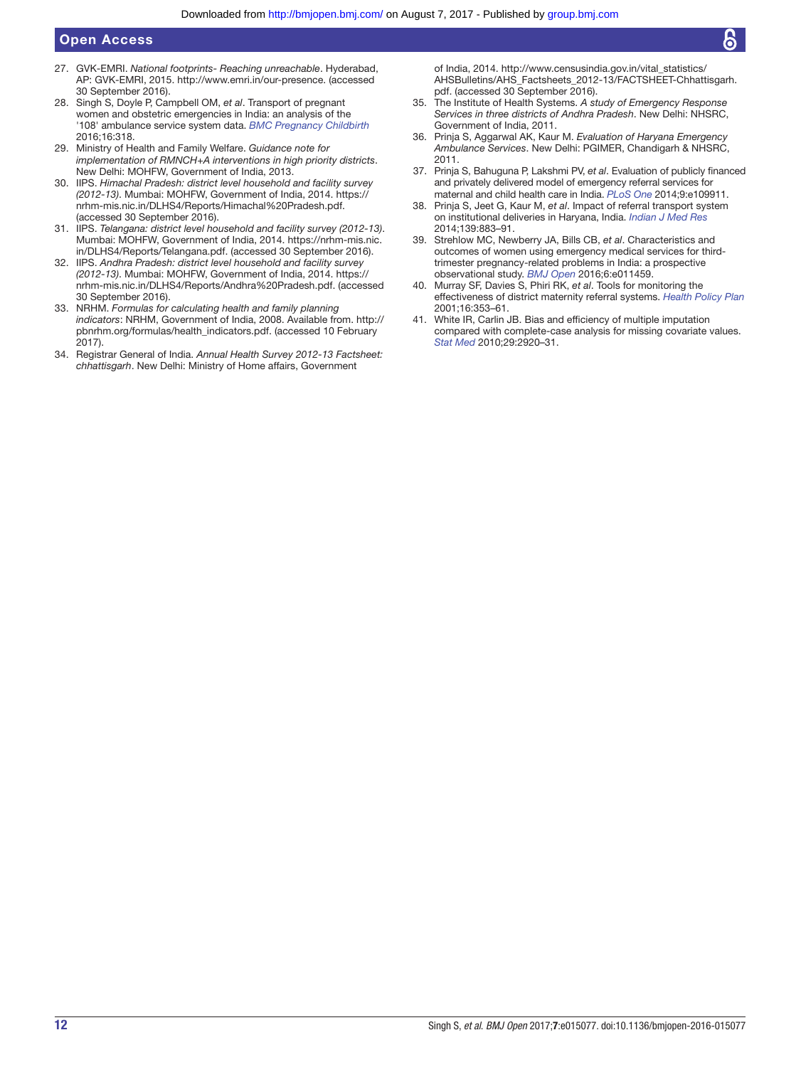- <span id="page-11-0"></span>27. GVK-EMRI. *National footprints- Reaching unreachable*. Hyderabad, AP: GVK-EMRI, 2015. [http://www.emri.in/our-presence.](http://www.emri.in/our-presence) (accessed 30 September 2016).
- <span id="page-11-1"></span>28. Singh S, Doyle P, Campbell OM, *et al*. Transport of pregnant women and obstetric emergencies in India: an analysis of the '108' ambulance service system data. *[BMC Pregnancy Childbirth](http://dx.doi.org/10.1186/s12884-016-1113-7)* 2016;16:318.
- <span id="page-11-2"></span>29. Ministry of Health and Family Welfare. *Guidance note for implementation of RMNCH+A interventions in high priority districts*. New Delhi: MOHFW, Government of India, 2013.
- <span id="page-11-3"></span>30. IIPS. *Himachal Pradesh: district level household and facility survey (2012-13)*. Mumbai: MOHFW, Government of India, 2014. [https://](https://nrhm-mis.nic.in/DLHS4/Reports/Himachal%20Pradesh.pdf) [nrhm-mis.nic.in/DLHS4/Reports/Himachal%20Pradesh.pdf.](https://nrhm-mis.nic.in/DLHS4/Reports/Himachal%20Pradesh.pdf)  (accessed 30 September 2016).
- 31. IIPS. *Telangana: district level household and facility survey (2012-13)*. Mumbai: MOHFW, Government of India, 2014. [https://nrhm-mis.nic.](https://nrhm-mis.nic.in/DLHS4/Reports/Telangana.pdf) [in/DLHS4/Reports/Telangana.pdf.](https://nrhm-mis.nic.in/DLHS4/Reports/Telangana.pdf) (accessed 30 September 2016).
- 32. IIPS. *Andhra Pradesh: district level household and facility survey (2012-13)*. Mumbai: MOHFW, Government of India, 2014. [https://](https://nrhm-mis.nic.in/DLHS4/Reports/Andhra%20Pradesh.pdf) [nrhm-mis.nic.in/DLHS4/Reports/Andhra%20Pradesh.pdf.](https://nrhm-mis.nic.in/DLHS4/Reports/Andhra%20Pradesh.pdf) (accessed 30 September 2016).
- <span id="page-11-4"></span>33. NRHM. *Formulas for calculating health and family planning indicators*: NRHM, Government of India, 2008. Available from. [http://](http://pbnrhm.org/formulas/health_indicators.pdf) [pbnrhm.org/formulas/health\\_indicators.pdf.](http://pbnrhm.org/formulas/health_indicators.pdf) (accessed 10 February 2017).
- <span id="page-11-5"></span>34. Registrar General of India. *Annual Health Survey 2012-13 Factsheet: chhattisgarh*. New Delhi: Ministry of Home affairs, Government

of India, 2014. [http://www.censusindia.gov.in/vital\\_statistics/](http://www.censusindia.gov.in/vital_statistics/AHSBulletins/AHS_Factsheets_2012-13/FACTSHEET-Chhattisgarh.pdf) [AHSBulletins/AHS\\_Factsheets\\_2012-13/FACTSHEET-Chhattisgarh.](http://www.censusindia.gov.in/vital_statistics/AHSBulletins/AHS_Factsheets_2012-13/FACTSHEET-Chhattisgarh.pdf) [pdf.](http://www.censusindia.gov.in/vital_statistics/AHSBulletins/AHS_Factsheets_2012-13/FACTSHEET-Chhattisgarh.pdf) (accessed 30 September 2016).

- <span id="page-11-6"></span>35. The Institute of Health Systems. *A study of Emergency Response Services in three districts of Andhra Pradesh*. New Delhi: NHSRC, Government of India, 2011.
- 36. Prinja S, Aggarwal AK, Kaur M. *Evaluation of Haryana Emergency Ambulance Services*. New Delhi: PGIMER, Chandigarh & NHSRC, 2011.
- <span id="page-11-8"></span>37. Prinja S, Bahuguna P, Lakshmi PV, *et al*. Evaluation of publicly financed and privately delivered model of emergency referral services for maternal and child health care in India. *[PLoS One](http://dx.doi.org/10.1371/journal.pone.0109911)* 2014;9:e109911.
- 38. Prinja S, Jeet G, Kaur M, *et al*. Impact of referral transport system on institutional deliveries in Haryana, India. *Indian J Med Res* 2014;139:883–91.
- <span id="page-11-7"></span>39. Strehlow MC, Newberry JA, Bills CB, *et al*. Characteristics and outcomes of women using emergency medical services for thirdtrimester pregnancy-related problems in India: a prospective observational study. *[BMJ Open](http://dx.doi.org/10.1136/bmjopen-2016-011459)* 2016;6:e011459.
- 40. Murray SF, Davies S, Phiri RK, *et al*. Tools for monitoring the effectiveness of district maternity referral systems. *[Health Policy Plan](http://dx.doi.org/10.1093/heapol/16.4.353)* 2001;16:353–61.
- <span id="page-11-9"></span>41. White IR, Carlin JB. Bias and efficiency of multiple imputation compared with complete-case analysis for missing covariate values. *[Stat Med](http://dx.doi.org/10.1002/sim.3944)* 2010;29:2920–31.